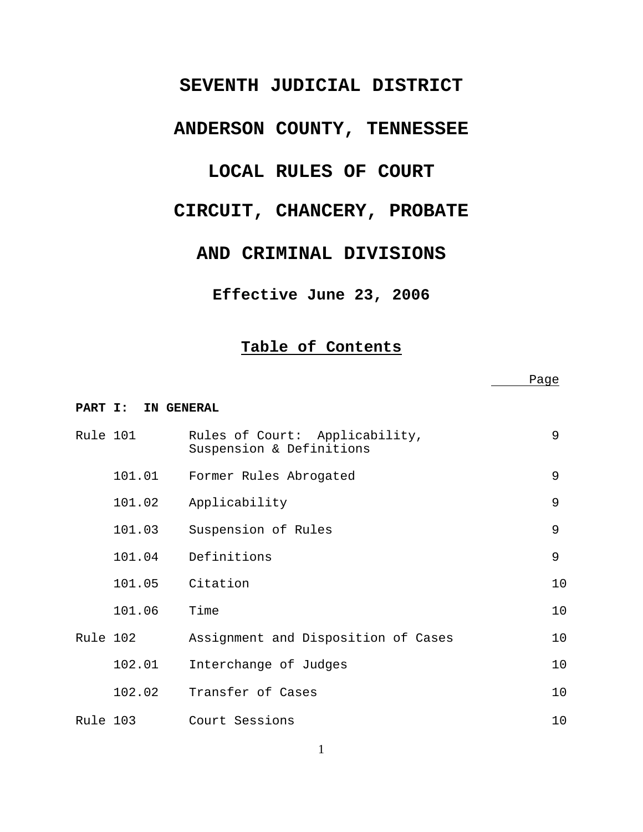## **SEVENTH JUDICIAL DISTRICT**

# **ANDERSON COUNTY, TENNESSEE**

## **LOCAL RULES OF COURT**

## **CIRCUIT, CHANCERY, PROBATE**

## **AND CRIMINAL DIVISIONS**

## **Effective June 23, 2006**

## **Table of Contents**

|          |                    |                                                            | Page |
|----------|--------------------|------------------------------------------------------------|------|
|          | PART I: IN GENERAL |                                                            |      |
| Rule 101 |                    | Rules of Court: Applicability,<br>Suspension & Definitions | 9    |
|          | 101.01             | Former Rules Abrogated                                     | 9    |
|          | 101.02             | Applicability                                              | 9    |
|          | 101.03             | Suspension of Rules                                        | 9    |
|          | 101.04             | Definitions                                                | 9    |
|          | 101.05             | Citation                                                   | 10   |
|          | 101.06             | Time                                                       | 10   |
| Rule 102 |                    | Assignment and Disposition of Cases                        | 10   |
|          | 102.01             | Interchange of Judges                                      | 10   |
|          | 102.02             | Transfer of Cases                                          | 10   |
| Rule 103 |                    | Court Sessions                                             | 10   |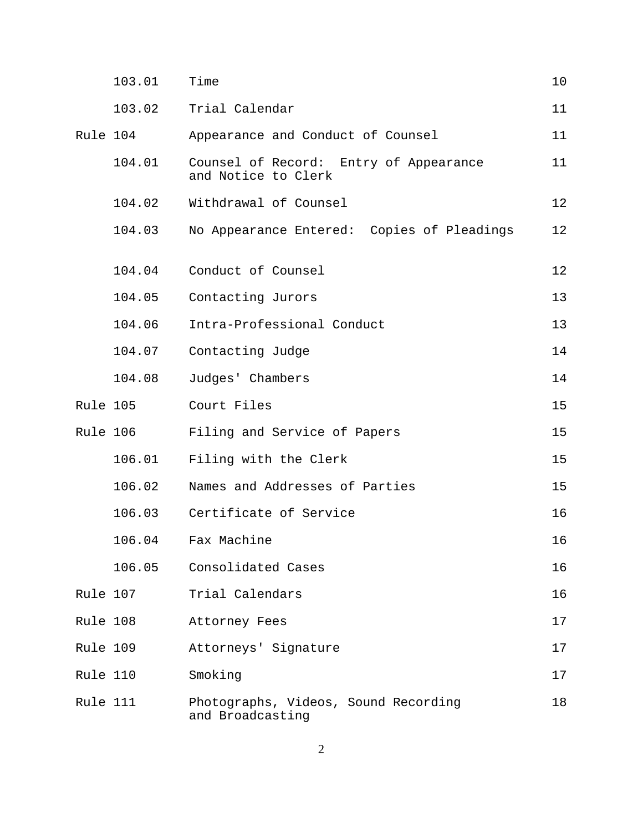|          | 103.01 | Time                                                          | 10 |
|----------|--------|---------------------------------------------------------------|----|
|          | 103.02 | Trial Calendar                                                | 11 |
| Rule 104 |        | Appearance and Conduct of Counsel                             | 11 |
|          | 104.01 | Counsel of Record: Entry of Appearance<br>and Notice to Clerk | 11 |
|          | 104.02 | Withdrawal of Counsel                                         | 12 |
|          | 104.03 | No Appearance Entered: Copies of Pleadings                    | 12 |
|          | 104.04 | Conduct of Counsel                                            | 12 |
|          | 104.05 | Contacting Jurors                                             | 13 |
|          | 104.06 | Intra-Professional Conduct                                    | 13 |
|          | 104.07 | Contacting Judge                                              | 14 |
|          | 104.08 | Judges' Chambers                                              | 14 |
| Rule 105 |        | Court Files                                                   | 15 |
| Rule 106 |        | Filing and Service of Papers                                  | 15 |
|          | 106.01 | Filing with the Clerk                                         | 15 |
|          | 106.02 | Names and Addresses of Parties                                | 15 |
|          | 106.03 | Certificate of Service                                        | 16 |
|          | 106.04 | Fax Machine                                                   | 16 |
|          | 106.05 | Consolidated Cases                                            | 16 |
| Rule 107 |        | Trial Calendars                                               | 16 |
| Rule 108 |        | Attorney Fees                                                 | 17 |
| Rule 109 |        | Attorneys' Signature                                          | 17 |
| Rule 110 |        | Smoking                                                       | 17 |
| Rule 111 |        | Photographs, Videos, Sound Recording<br>and Broadcasting      | 18 |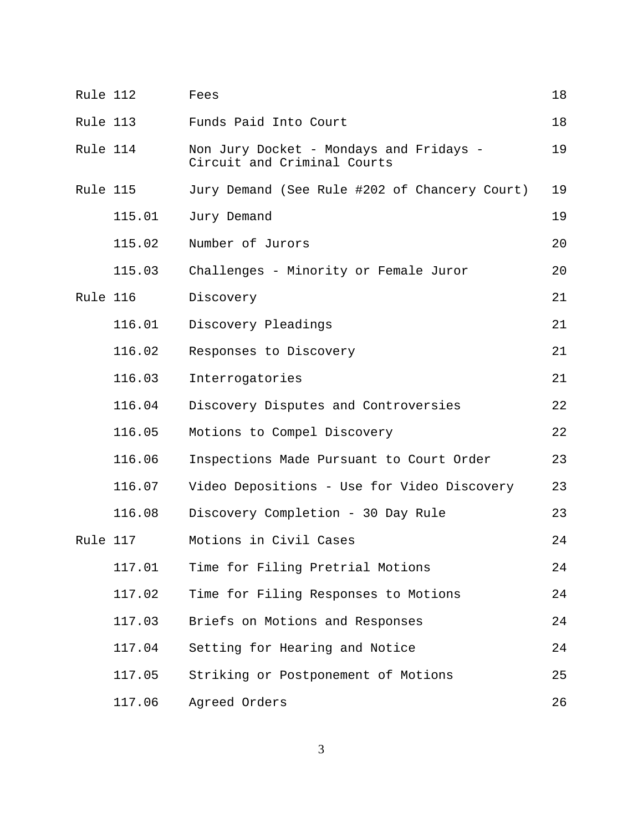| Rule 112 |        | Fees                                                                   | 18 |
|----------|--------|------------------------------------------------------------------------|----|
| Rule 113 |        | Funds Paid Into Court                                                  | 18 |
| Rule 114 |        | Non Jury Docket - Mondays and Fridays -<br>Circuit and Criminal Courts | 19 |
| Rule 115 |        | Jury Demand (See Rule #202 of Chancery Court)                          | 19 |
|          | 115.01 | Jury Demand                                                            | 19 |
|          | 115.02 | Number of Jurors                                                       | 20 |
|          | 115.03 | Challenges - Minority or Female Juror                                  | 20 |
| Rule 116 |        | Discovery                                                              | 21 |
|          | 116.01 | Discovery Pleadings                                                    | 21 |
|          | 116.02 | Responses to Discovery                                                 | 21 |
|          | 116.03 | Interrogatories                                                        | 21 |
|          | 116.04 | Discovery Disputes and Controversies                                   | 22 |
|          | 116.05 | Motions to Compel Discovery                                            | 22 |
|          | 116.06 | Inspections Made Pursuant to Court Order                               | 23 |
|          | 116.07 | Video Depositions - Use for Video Discovery                            | 23 |
|          | 116.08 | Discovery Completion - 30 Day Rule                                     | 23 |
| Rule 117 |        | Motions in Civil Cases                                                 | 24 |
|          | 117.01 | Time for Filing Pretrial Motions                                       | 24 |
|          | 117.02 | Time for Filing Responses to Motions                                   | 24 |
|          | 117.03 | Briefs on Motions and Responses                                        | 24 |
|          | 117.04 | Setting for Hearing and Notice                                         | 24 |
|          | 117.05 | Striking or Postponement of Motions                                    | 25 |
|          | 117.06 | Agreed Orders                                                          | 26 |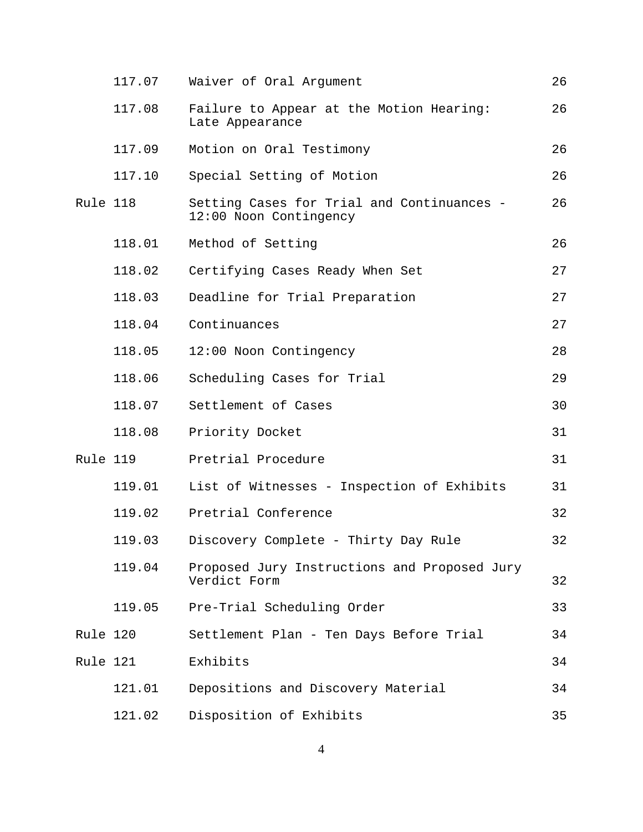|          | 117.07 | Waiver of Oral Argument                                              | 26 |
|----------|--------|----------------------------------------------------------------------|----|
|          | 117.08 | Failure to Appear at the Motion Hearing:<br>Late Appearance          | 26 |
|          | 117.09 | Motion on Oral Testimony                                             | 26 |
|          | 117.10 | Special Setting of Motion                                            | 26 |
| Rule 118 |        | Setting Cases for Trial and Continuances -<br>12:00 Noon Contingency | 26 |
|          | 118.01 | Method of Setting                                                    | 26 |
|          | 118.02 | Certifying Cases Ready When Set                                      | 27 |
|          | 118.03 | Deadline for Trial Preparation                                       | 27 |
|          | 118.04 | Continuances                                                         | 27 |
|          | 118.05 | 12:00 Noon Contingency                                               | 28 |
|          | 118.06 | Scheduling Cases for Trial                                           | 29 |
|          | 118.07 | Settlement of Cases                                                  | 30 |
|          | 118.08 | Priority Docket                                                      | 31 |
| Rule 119 |        | Pretrial Procedure                                                   | 31 |
|          | 119.01 | List of Witnesses - Inspection of Exhibits                           | 31 |
|          | 119.02 | Pretrial Conference                                                  | 32 |
|          | 119.03 | Discovery Complete - Thirty Day Rule                                 | 32 |
|          | 119.04 | Proposed Jury Instructions and Proposed Jury<br>Verdict Form         | 32 |
|          | 119.05 | Pre-Trial Scheduling Order                                           | 33 |
| Rule 120 |        | Settlement Plan - Ten Days Before Trial                              | 34 |
| Rule 121 |        | Exhibits                                                             | 34 |
|          | 121.01 | Depositions and Discovery Material                                   | 34 |
|          | 121.02 | Disposition of Exhibits                                              | 35 |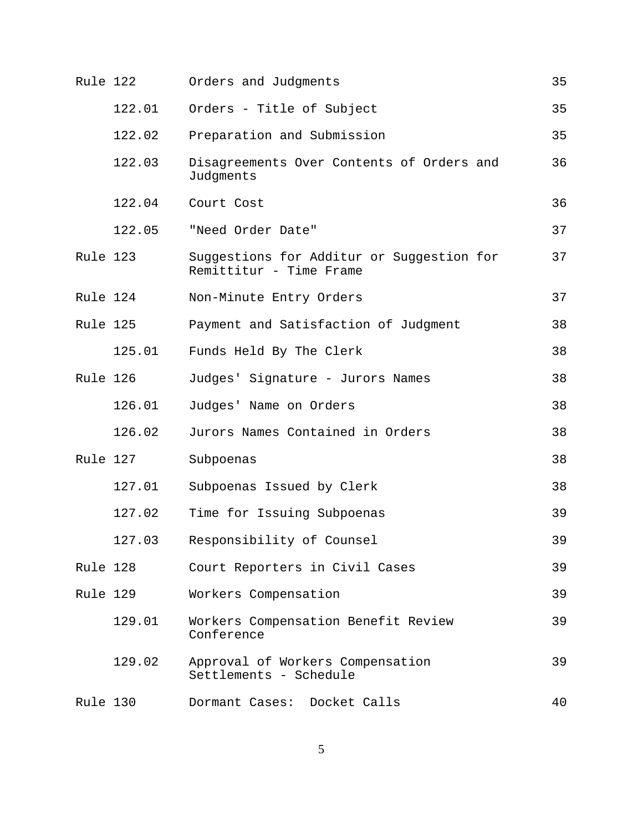| Rule 122 |        | Orders and Judgments                                                 | 35 |
|----------|--------|----------------------------------------------------------------------|----|
|          | 122.01 | Orders - Title of Subject                                            | 35 |
|          | 122.02 | Preparation and Submission                                           | 35 |
|          | 122.03 | Disagreements Over Contents of Orders and<br>Judgments               | 36 |
|          | 122.04 | Court Cost                                                           | 36 |
|          | 122.05 | "Need Order Date"                                                    | 37 |
| Rule 123 |        | Suggestions for Additur or Suggestion for<br>Remittitur - Time Frame | 37 |
| Rule 124 |        | Non-Minute Entry Orders                                              | 37 |
| Rule 125 |        | Payment and Satisfaction of Judgment                                 | 38 |
|          | 125.01 | Funds Held By The Clerk                                              | 38 |
| Rule 126 |        | Judges' Signature - Jurors Names                                     | 38 |
|          | 126.01 | Judges' Name on Orders                                               | 38 |
|          | 126.02 | Jurors Names Contained in Orders                                     | 38 |
| Rule 127 |        | Subpoenas                                                            | 38 |
|          | 127.01 | Subpoenas Issued by Clerk                                            | 38 |
|          | 127.02 | Time for Issuing Subpoenas                                           | 39 |
|          | 127.03 | Responsibility of Counsel                                            | 39 |
| Rule 128 |        | Court Reporters in Civil Cases                                       | 39 |
| Rule 129 |        | Workers Compensation                                                 | 39 |
|          | 129.01 | Workers Compensation Benefit Review<br>Conference                    | 39 |
|          | 129.02 | Approval of Workers Compensation<br>Settlements - Schedule           | 39 |
| Rule 130 |        | Dormant Cases: Docket Calls                                          | 40 |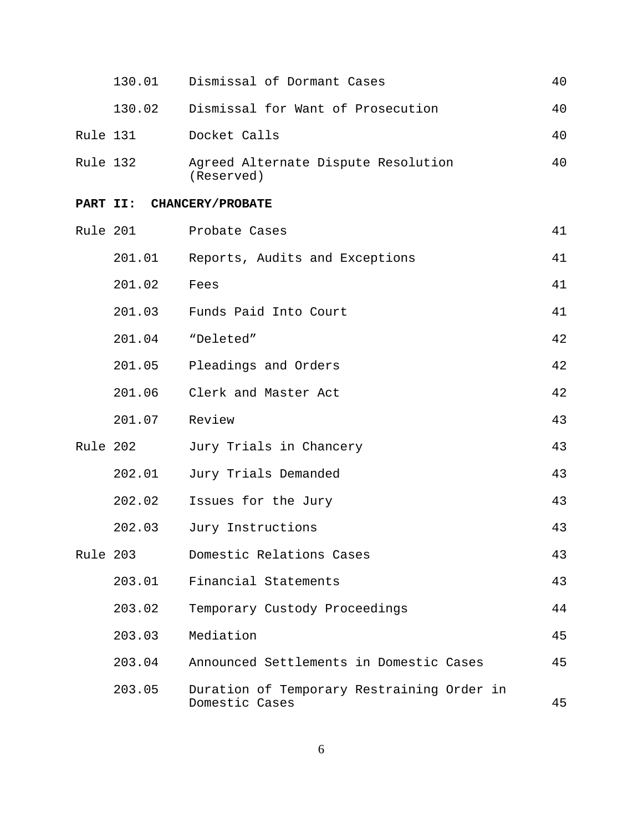|          | 130.01 | Dismissal of Dormant Cases                                   | 40 |
|----------|--------|--------------------------------------------------------------|----|
|          | 130.02 | Dismissal for Want of Prosecution                            | 40 |
| Rule 131 |        | Docket Calls                                                 | 40 |
| Rule 132 |        | Agreed Alternate Dispute Resolution<br>(Reserved)            | 40 |
|          |        | PART II: CHANCERY/PROBATE                                    |    |
| Rule 201 |        | Probate Cases                                                | 41 |
|          | 201.01 | Reports, Audits and Exceptions                               | 41 |
|          | 201.02 | Fees                                                         | 41 |
|          | 201.03 | Funds Paid Into Court                                        | 41 |
|          | 201.04 | "Deleted"                                                    | 42 |
|          | 201.05 | Pleadings and Orders                                         | 42 |
|          | 201.06 | Clerk and Master Act                                         | 42 |
|          | 201.07 | Review                                                       | 43 |
| Rule 202 |        | Jury Trials in Chancery                                      | 43 |
|          | 202.01 | Jury Trials Demanded                                         | 43 |
|          | 202.02 | Issues for the Jury                                          | 43 |
|          | 202.03 | Jury Instructions                                            | 43 |
| Rule 203 |        | Domestic Relations Cases                                     | 43 |
|          | 203.01 | Financial Statements                                         | 43 |
|          | 203.02 | Temporary Custody Proceedings                                | 44 |
|          | 203.03 | Mediation                                                    | 45 |
|          | 203.04 | Announced Settlements in Domestic Cases                      | 45 |
|          | 203.05 | Duration of Temporary Restraining Order in<br>Domestic Cases | 45 |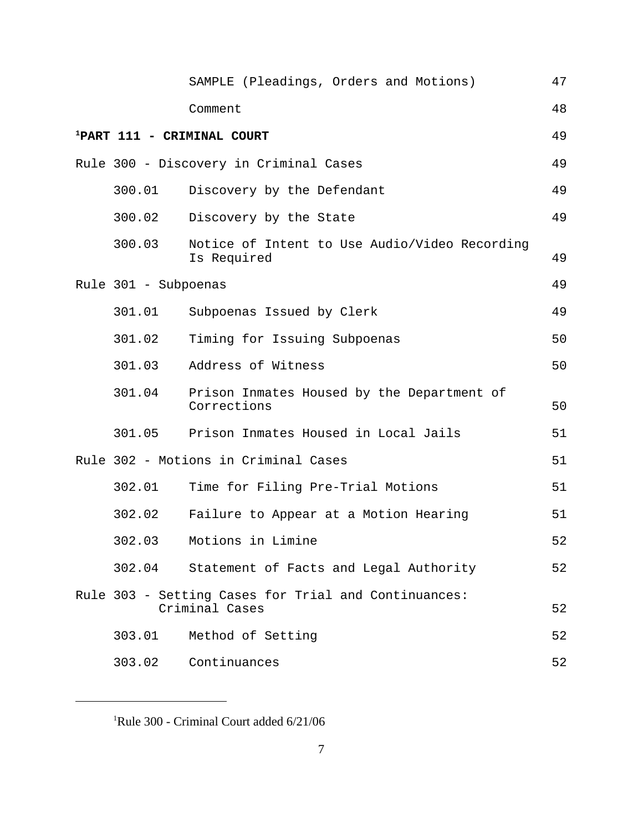|                      | SAMPLE (Pleadings, Orders and Motions)                                 | 47 |
|----------------------|------------------------------------------------------------------------|----|
|                      | Comment                                                                | 48 |
|                      | <sup>1</sup> PART 111 - CRIMINAL COURT                                 | 49 |
|                      | Rule 300 - Discovery in Criminal Cases                                 | 49 |
| 300.01               | Discovery by the Defendant                                             | 49 |
| 300.02               | Discovery by the State                                                 | 49 |
| 300.03               | Notice of Intent to Use Audio/Video Recording<br>Is Required           | 49 |
| Rule 301 - Subpoenas |                                                                        | 49 |
| 301.01               | Subpoenas Issued by Clerk                                              | 49 |
| 301.02               | Timing for Issuing Subpoenas                                           | 50 |
| 301.03               | Address of Witness                                                     | 50 |
| 301.04               | Prison Inmates Housed by the Department of<br>Corrections              | 50 |
|                      | 301.05 Prison Inmates Housed in Local Jails                            | 51 |
|                      | Rule 302 - Motions in Criminal Cases                                   | 51 |
| 302.01               | Time for Filing Pre-Trial Motions                                      | 51 |
| 302.02               | Failure to Appear at a Motion Hearing                                  | 51 |
| 302.03               | Motions in Limine                                                      | 52 |
|                      | 302.04 Statement of Facts and Legal Authority                          | 52 |
|                      | Rule 303 - Setting Cases for Trial and Continuances:<br>Criminal Cases | 52 |
| 303.01               | Method of Setting                                                      | 52 |
| 303.02               | Continuances                                                           | 52 |

<sup>1</sup>Rule 300 - Criminal Court added 6/21/06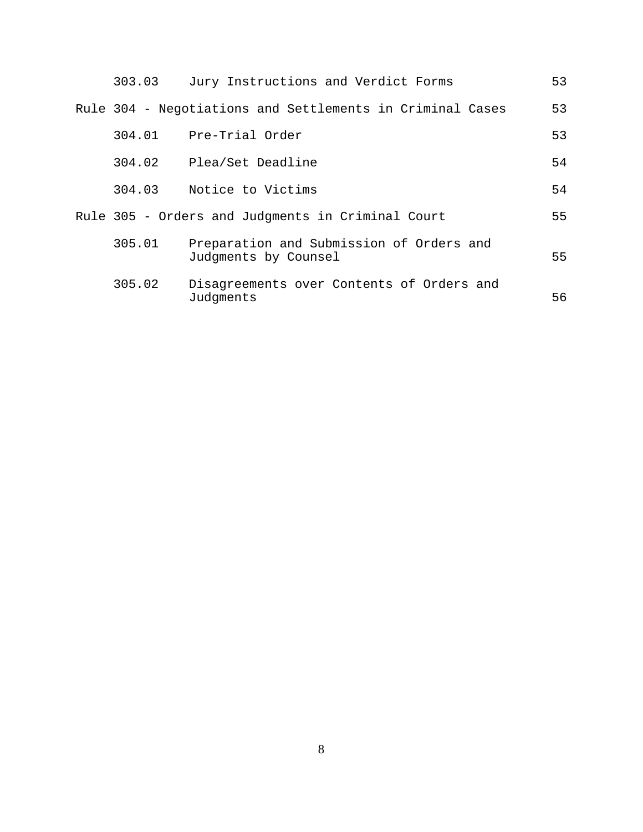| 303.03 | Jury Instructions and Verdict Forms                              | 53 |
|--------|------------------------------------------------------------------|----|
|        | Rule 304 - Negotiations and Settlements in Criminal Cases        | 53 |
|        | 304.01 Pre-Trial Order                                           | 53 |
|        | 304.02 Plea/Set Deadline                                         | 54 |
|        | 304.03 Notice to Victims                                         | 54 |
|        | Rule 305 - Orders and Judgments in Criminal Court                | 55 |
| 305.01 | Preparation and Submission of Orders and<br>Judgments by Counsel | 55 |
| 305.02 | Disagreements over Contents of Orders and<br>Judgments           | 56 |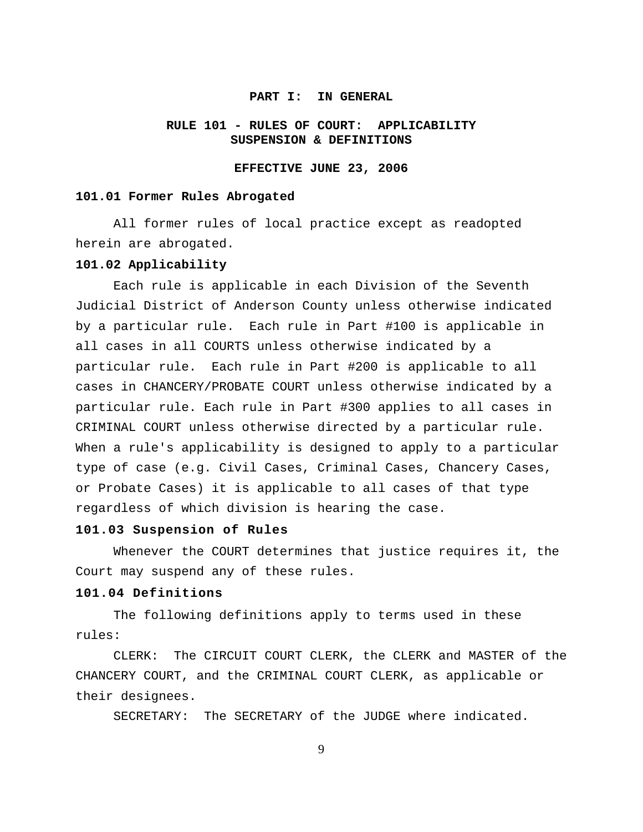#### **PART I: IN GENERAL**

## **RULE 101 - RULES OF COURT: APPLICABILITY SUSPENSION & DEFINITIONS**

#### **EFFECTIVE JUNE 23, 2006**

#### **101.01 Former Rules Abrogated**

All former rules of local practice except as readopted herein are abrogated.

#### **101.02 Applicability**

Each rule is applicable in each Division of the Seventh Judicial District of Anderson County unless otherwise indicated by a particular rule. Each rule in Part #100 is applicable in all cases in all COURTS unless otherwise indicated by a particular rule. Each rule in Part #200 is applicable to all cases in CHANCERY/PROBATE COURT unless otherwise indicated by a particular rule. Each rule in Part #300 applies to all cases in CRIMINAL COURT unless otherwise directed by a particular rule. When a rule's applicability is designed to apply to a particular type of case (e.g. Civil Cases, Criminal Cases, Chancery Cases, or Probate Cases) it is applicable to all cases of that type regardless of which division is hearing the case.

#### **101.03 Suspension of Rules**

Whenever the COURT determines that justice requires it, the Court may suspend any of these rules.

#### **101.04 Definitions**

The following definitions apply to terms used in these rules:

CLERK: The CIRCUIT COURT CLERK, the CLERK and MASTER of the CHANCERY COURT, and the CRIMINAL COURT CLERK, as applicable or their designees.

SECRETARY: The SECRETARY of the JUDGE where indicated.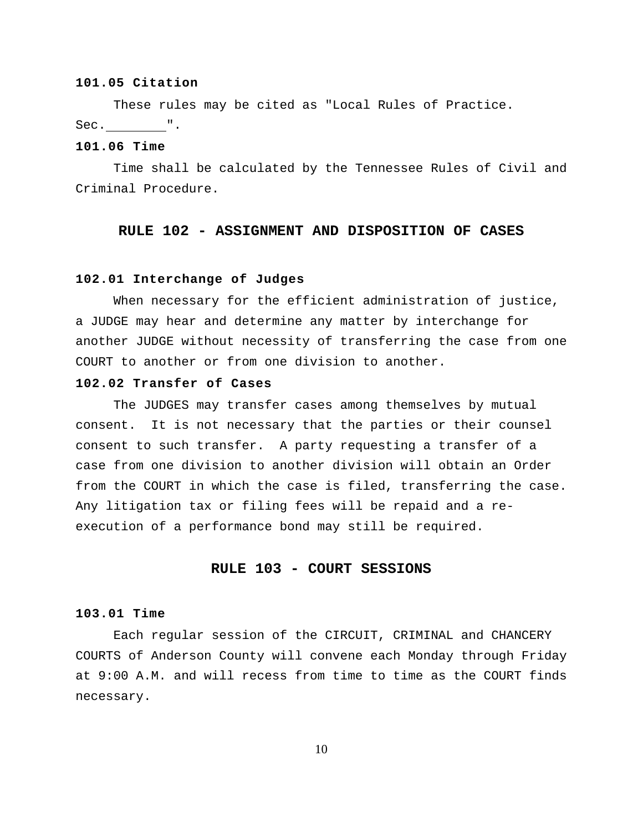#### **101.05 Citation**

These rules may be cited as "Local Rules of Practice. Sec. ".

### **101.06 Time**

Time shall be calculated by the Tennessee Rules of Civil and Criminal Procedure.

## **RULE 102 - ASSIGNMENT AND DISPOSITION OF CASES**

#### **102.01 Interchange of Judges**

When necessary for the efficient administration of justice, a JUDGE may hear and determine any matter by interchange for another JUDGE without necessity of transferring the case from one COURT to another or from one division to another.

## **102.02 Transfer of Cases**

The JUDGES may transfer cases among themselves by mutual consent. It is not necessary that the parties or their counsel consent to such transfer. A party requesting a transfer of a case from one division to another division will obtain an Order from the COURT in which the case is filed, transferring the case. Any litigation tax or filing fees will be repaid and a reexecution of a performance bond may still be required.

#### **RULE 103 - COURT SESSIONS**

#### **103.01 Time**

Each regular session of the CIRCUIT, CRIMINAL and CHANCERY COURTS of Anderson County will convene each Monday through Friday at 9:00 A.M. and will recess from time to time as the COURT finds necessary.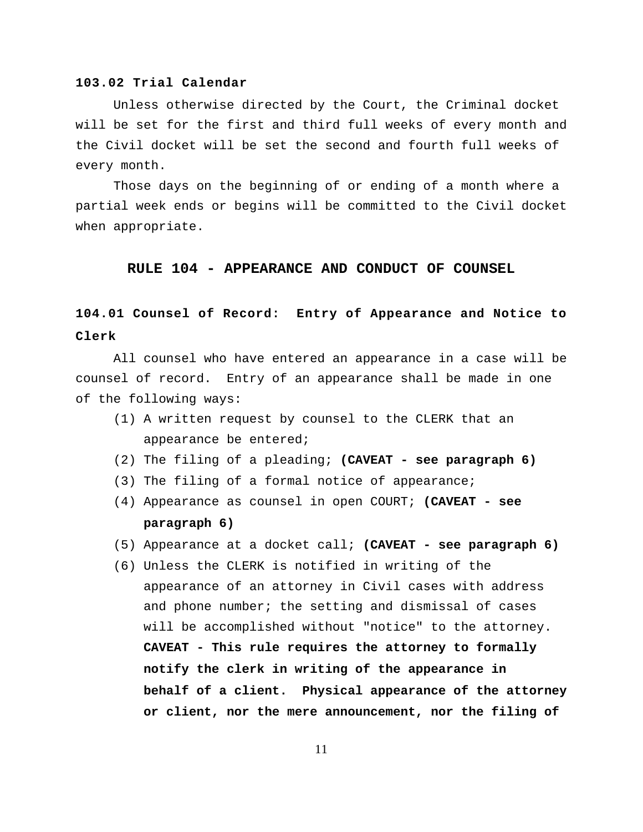#### **103.02 Trial Calendar**

Unless otherwise directed by the Court, the Criminal docket will be set for the first and third full weeks of every month and the Civil docket will be set the second and fourth full weeks of every month.

Those days on the beginning of or ending of a month where a partial week ends or begins will be committed to the Civil docket when appropriate.

#### **RULE 104 - APPEARANCE AND CONDUCT OF COUNSEL**

## **104.01 Counsel of Record: Entry of Appearance and Notice to Clerk**

All counsel who have entered an appearance in a case will be counsel of record. Entry of an appearance shall be made in one of the following ways:

- (1) A written request by counsel to the CLERK that an appearance be entered;
- (2) The filing of a pleading; **(CAVEAT see paragraph 6)**
- (3) The filing of a formal notice of appearance;
- (4) Appearance as counsel in open COURT; **(CAVEAT see paragraph 6)**
- (5) Appearance at a docket call; **(CAVEAT see paragraph 6)**
- (6) Unless the CLERK is notified in writing of the appearance of an attorney in Civil cases with address and phone number; the setting and dismissal of cases will be accomplished without "notice" to the attorney. **CAVEAT - This rule requires the attorney to formally notify the clerk in writing of the appearance in behalf of a client. Physical appearance of the attorney or client, nor the mere announcement, nor the filing of**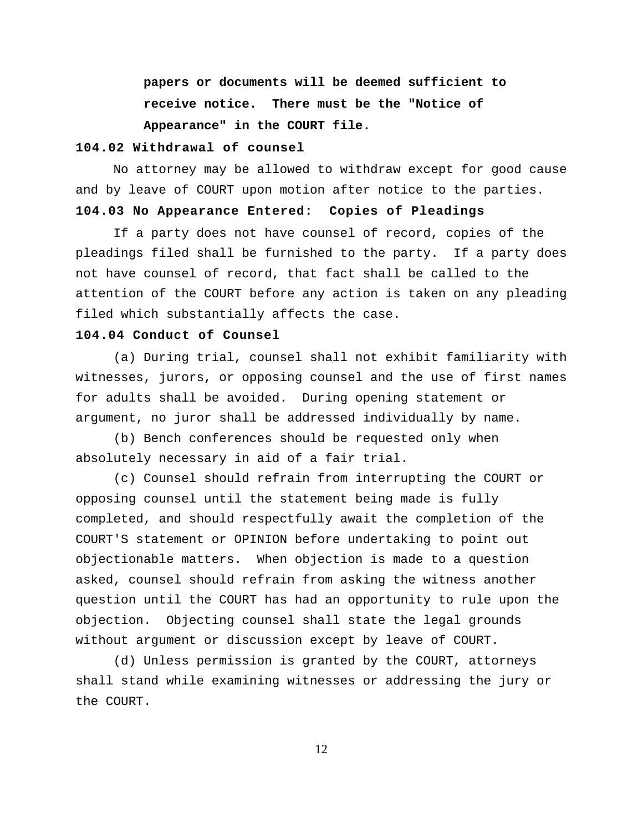**papers or documents will be deemed sufficient to receive notice. There must be the "Notice of Appearance" in the COURT file.**

#### **104.02 Withdrawal of counsel**

No attorney may be allowed to withdraw except for good cause and by leave of COURT upon motion after notice to the parties.

## **104.03 No Appearance Entered: Copies of Pleadings**

If a party does not have counsel of record, copies of the pleadings filed shall be furnished to the party. If a party does not have counsel of record, that fact shall be called to the attention of the COURT before any action is taken on any pleading filed which substantially affects the case.

## **104.04 Conduct of Counsel**

(a) During trial, counsel shall not exhibit familiarity with witnesses, jurors, or opposing counsel and the use of first names for adults shall be avoided. During opening statement or argument, no juror shall be addressed individually by name.

(b) Bench conferences should be requested only when absolutely necessary in aid of a fair trial.

(c) Counsel should refrain from interrupting the COURT or opposing counsel until the statement being made is fully completed, and should respectfully await the completion of the COURT'S statement or OPINION before undertaking to point out objectionable matters. When objection is made to a question asked, counsel should refrain from asking the witness another question until the COURT has had an opportunity to rule upon the objection. Objecting counsel shall state the legal grounds without argument or discussion except by leave of COURT.

(d) Unless permission is granted by the COURT, attorneys shall stand while examining witnesses or addressing the jury or the COURT.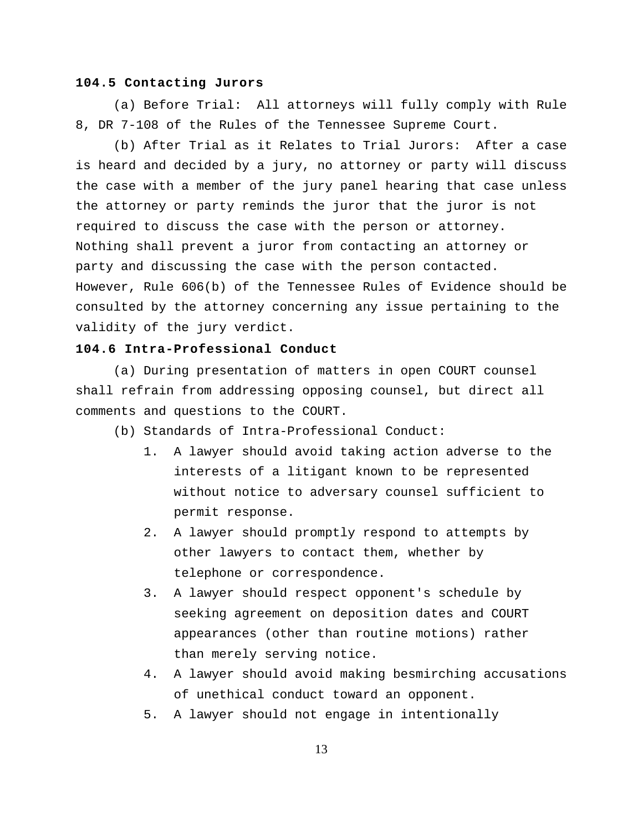#### **104.5 Contacting Jurors**

(a) Before Trial: All attorneys will fully comply with Rule 8, DR 7-108 of the Rules of the Tennessee Supreme Court.

(b) After Trial as it Relates to Trial Jurors: After a case is heard and decided by a jury, no attorney or party will discuss the case with a member of the jury panel hearing that case unless the attorney or party reminds the juror that the juror is not required to discuss the case with the person or attorney. Nothing shall prevent a juror from contacting an attorney or party and discussing the case with the person contacted. However, Rule 606(b) of the Tennessee Rules of Evidence should be consulted by the attorney concerning any issue pertaining to the validity of the jury verdict.

### **104.6 Intra-Professional Conduct**

(a) During presentation of matters in open COURT counsel shall refrain from addressing opposing counsel, but direct all comments and questions to the COURT.

(b) Standards of Intra-Professional Conduct:

- 1. A lawyer should avoid taking action adverse to the interests of a litigant known to be represented without notice to adversary counsel sufficient to permit response.
- 2. A lawyer should promptly respond to attempts by other lawyers to contact them, whether by telephone or correspondence.
- 3. A lawyer should respect opponent's schedule by seeking agreement on deposition dates and COURT appearances (other than routine motions) rather than merely serving notice.
- 4. A lawyer should avoid making besmirching accusations of unethical conduct toward an opponent.
- 5. A lawyer should not engage in intentionally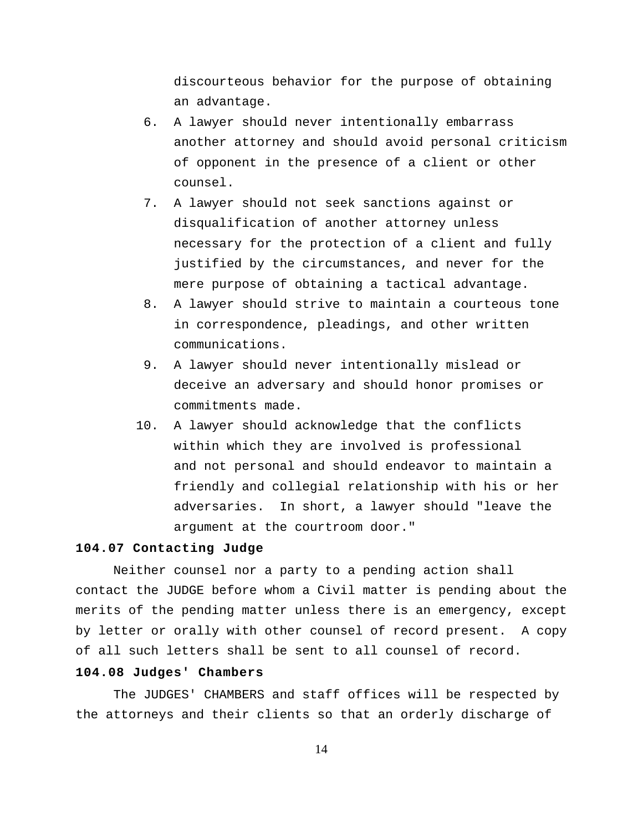discourteous behavior for the purpose of obtaining an advantage.

- 6. A lawyer should never intentionally embarrass another attorney and should avoid personal criticism of opponent in the presence of a client or other counsel.
- 7. A lawyer should not seek sanctions against or disqualification of another attorney unless necessary for the protection of a client and fully justified by the circumstances, and never for the mere purpose of obtaining a tactical advantage.
- 8. A lawyer should strive to maintain a courteous tone in correspondence, pleadings, and other written communications.
- 9. A lawyer should never intentionally mislead or deceive an adversary and should honor promises or commitments made.
- 10. A lawyer should acknowledge that the conflicts within which they are involved is professional and not personal and should endeavor to maintain a friendly and collegial relationship with his or her adversaries. In short, a lawyer should "leave the argument at the courtroom door."

## **104.07 Contacting Judge**

Neither counsel nor a party to a pending action shall contact the JUDGE before whom a Civil matter is pending about the merits of the pending matter unless there is an emergency, except by letter or orally with other counsel of record present. A copy of all such letters shall be sent to all counsel of record.

## **104.08 Judges' Chambers**

The JUDGES' CHAMBERS and staff offices will be respected by the attorneys and their clients so that an orderly discharge of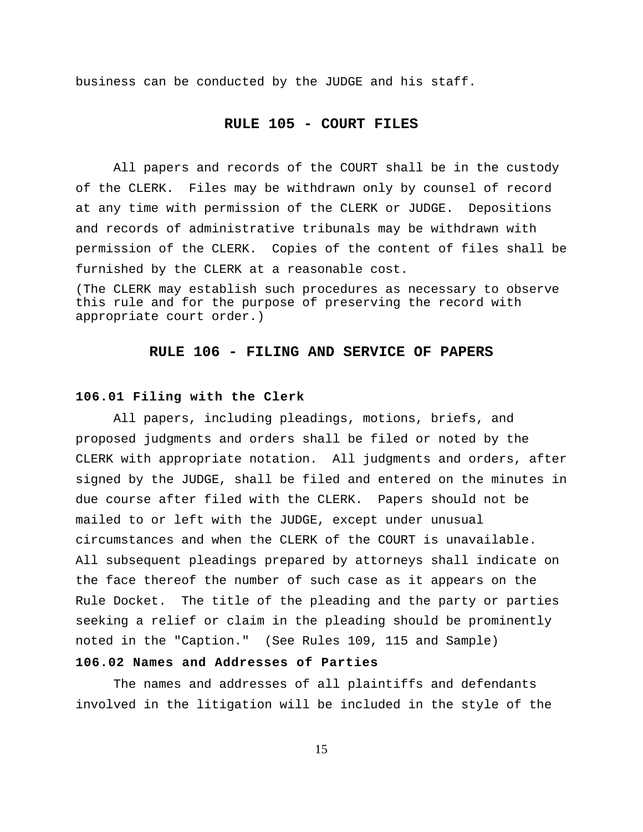business can be conducted by the JUDGE and his staff.

## **RULE 105 - COURT FILES**

All papers and records of the COURT shall be in the custody of the CLERK. Files may be withdrawn only by counsel of record at any time with permission of the CLERK or JUDGE. Depositions and records of administrative tribunals may be withdrawn with permission of the CLERK. Copies of the content of files shall be furnished by the CLERK at a reasonable cost.

(The CLERK may establish such procedures as necessary to observe this rule and for the purpose of preserving the record with appropriate court order.)

#### **RULE 106 - FILING AND SERVICE OF PAPERS**

#### **106.01 Filing with the Clerk**

All papers, including pleadings, motions, briefs, and proposed judgments and orders shall be filed or noted by the CLERK with appropriate notation. All judgments and orders, after signed by the JUDGE, shall be filed and entered on the minutes in due course after filed with the CLERK. Papers should not be mailed to or left with the JUDGE, except under unusual circumstances and when the CLERK of the COURT is unavailable. All subsequent pleadings prepared by attorneys shall indicate on the face thereof the number of such case as it appears on the Rule Docket. The title of the pleading and the party or parties seeking a relief or claim in the pleading should be prominently noted in the "Caption." (See Rules 109, 115 and Sample)

## **106.02 Names and Addresses of Parties**

The names and addresses of all plaintiffs and defendants involved in the litigation will be included in the style of the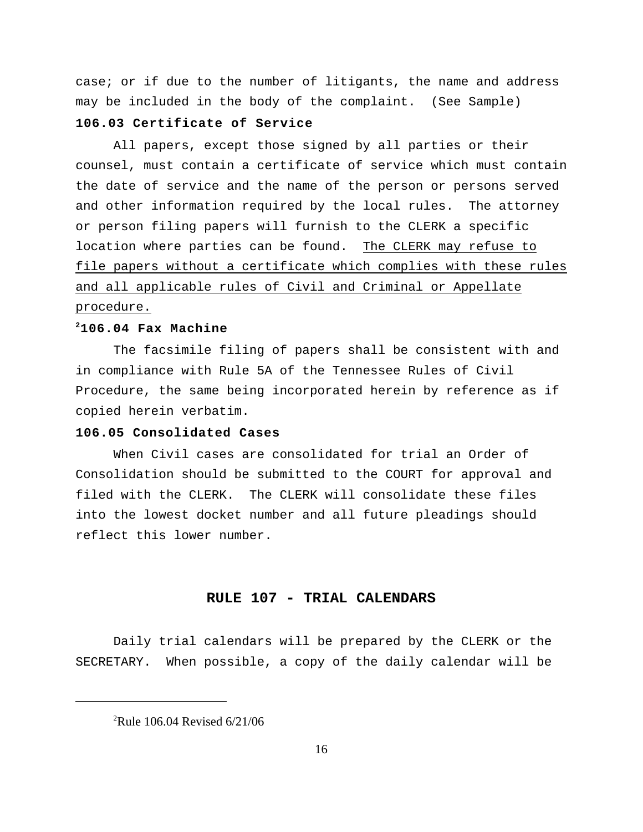case; or if due to the number of litigants, the name and address may be included in the body of the complaint. (See Sample)

## **106.03 Certificate of Service**

All papers, except those signed by all parties or their counsel, must contain a certificate of service which must contain the date of service and the name of the person or persons served and other information required by the local rules. The attorney or person filing papers will furnish to the CLERK a specific location where parties can be found. The CLERK may refuse to file papers without a certificate which complies with these rules and all applicable rules of Civil and Criminal or Appellate procedure.

## **106.04 Fax Machine <sup>2</sup>**

The facsimile filing of papers shall be consistent with and in compliance with Rule 5A of the Tennessee Rules of Civil Procedure, the same being incorporated herein by reference as if copied herein verbatim.

## **106.05 Consolidated Cases**

When Civil cases are consolidated for trial an Order of Consolidation should be submitted to the COURT for approval and filed with the CLERK. The CLERK will consolidate these files into the lowest docket number and all future pleadings should reflect this lower number.

## **RULE 107 - TRIAL CALENDARS**

Daily trial calendars will be prepared by the CLERK or the SECRETARY. When possible, a copy of the daily calendar will be

 $^{2}$ Rule 106.04 Revised 6/21/06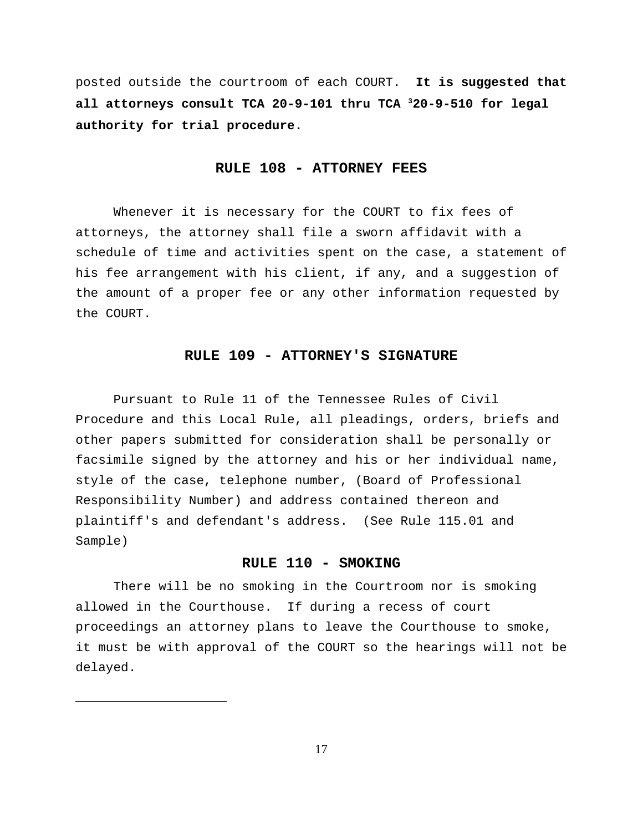posted outside the courtroom of each COURT. **It is suggested that all attorneys consult TCA 20-9-101 thru TCA 20-9-510 for legal <sup>3</sup> authority for trial procedure.**

#### **RULE 108 - ATTORNEY FEES**

Whenever it is necessary for the COURT to fix fees of attorneys, the attorney shall file a sworn affidavit with a schedule of time and activities spent on the case, a statement of his fee arrangement with his client, if any, and a suggestion of the amount of a proper fee or any other information requested by the COURT.

#### **RULE 109 - ATTORNEY'S SIGNATURE**

Pursuant to Rule 11 of the Tennessee Rules of Civil Procedure and this Local Rule, all pleadings, orders, briefs and other papers submitted for consideration shall be personally or facsimile signed by the attorney and his or her individual name, style of the case, telephone number, (Board of Professional Responsibility Number) and address contained thereon and plaintiff's and defendant's address. (See Rule 115.01 and Sample)

## **RULE 110 - SMOKING**

There will be no smoking in the Courtroom nor is smoking allowed in the Courthouse. If during a recess of court proceedings an attorney plans to leave the Courthouse to smoke, it must be with approval of the COURT so the hearings will not be delayed.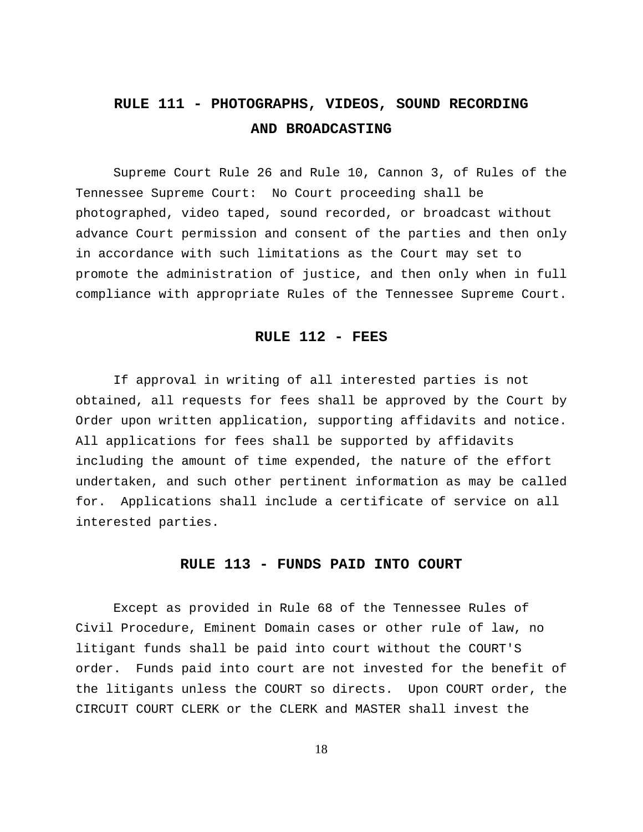# **RULE 111 - PHOTOGRAPHS, VIDEOS, SOUND RECORDING AND BROADCASTING**

Supreme Court Rule 26 and Rule 10, Cannon 3, of Rules of the Tennessee Supreme Court: No Court proceeding shall be photographed, video taped, sound recorded, or broadcast without advance Court permission and consent of the parties and then only in accordance with such limitations as the Court may set to promote the administration of justice, and then only when in full compliance with appropriate Rules of the Tennessee Supreme Court.

## **RULE 112 - FEES**

If approval in writing of all interested parties is not obtained, all requests for fees shall be approved by the Court by Order upon written application, supporting affidavits and notice. All applications for fees shall be supported by affidavits including the amount of time expended, the nature of the effort undertaken, and such other pertinent information as may be called for. Applications shall include a certificate of service on all interested parties.

#### **RULE 113 - FUNDS PAID INTO COURT**

Except as provided in Rule 68 of the Tennessee Rules of Civil Procedure, Eminent Domain cases or other rule of law, no litigant funds shall be paid into court without the COURT'S order. Funds paid into court are not invested for the benefit of the litigants unless the COURT so directs. Upon COURT order, the CIRCUIT COURT CLERK or the CLERK and MASTER shall invest the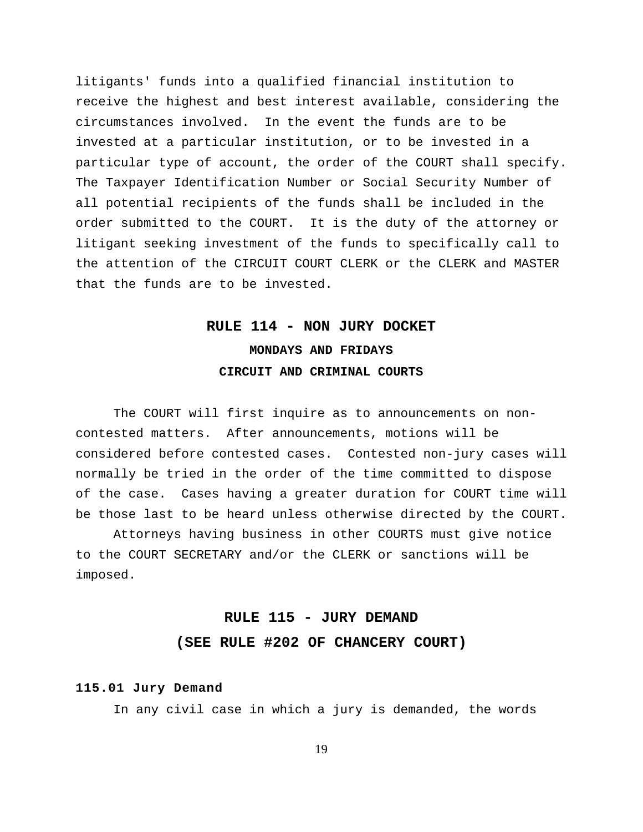litigants' funds into a qualified financial institution to receive the highest and best interest available, considering the circumstances involved. In the event the funds are to be invested at a particular institution, or to be invested in a particular type of account, the order of the COURT shall specify. The Taxpayer Identification Number or Social Security Number of all potential recipients of the funds shall be included in the order submitted to the COURT. It is the duty of the attorney or litigant seeking investment of the funds to specifically call to the attention of the CIRCUIT COURT CLERK or the CLERK and MASTER that the funds are to be invested.

# **RULE 114 - NON JURY DOCKET MONDAYS AND FRIDAYS CIRCUIT AND CRIMINAL COURTS**

The COURT will first inquire as to announcements on noncontested matters. After announcements, motions will be considered before contested cases. Contested non-jury cases will normally be tried in the order of the time committed to dispose of the case. Cases having a greater duration for COURT time will be those last to be heard unless otherwise directed by the COURT.

Attorneys having business in other COURTS must give notice to the COURT SECRETARY and/or the CLERK or sanctions will be imposed.

# **RULE 115 - JURY DEMAND (SEE RULE #202 OF CHANCERY COURT)**

#### **115.01 Jury Demand**

In any civil case in which a jury is demanded, the words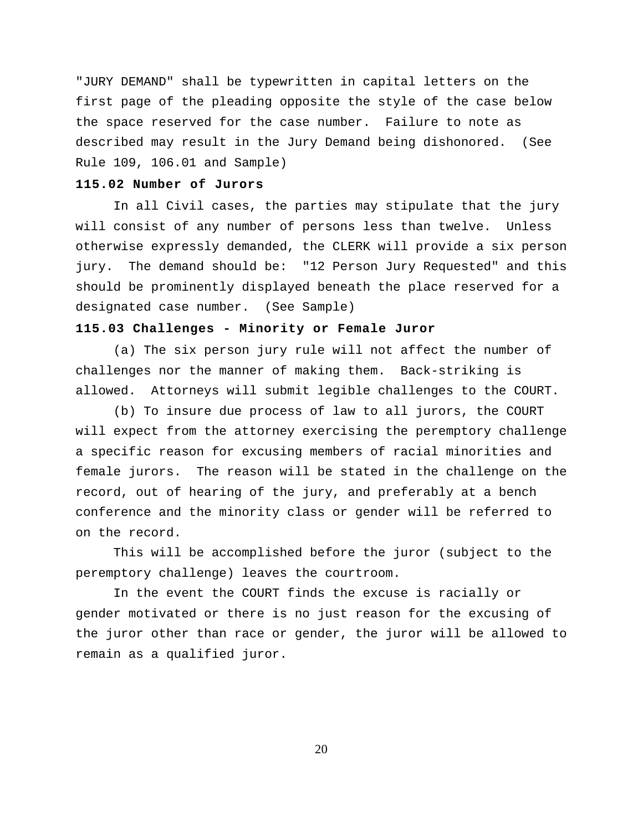"JURY DEMAND" shall be typewritten in capital letters on the first page of the pleading opposite the style of the case below the space reserved for the case number. Failure to note as described may result in the Jury Demand being dishonored. (See Rule 109, 106.01 and Sample)

## **115.02 Number of Jurors**

In all Civil cases, the parties may stipulate that the jury will consist of any number of persons less than twelve. Unless otherwise expressly demanded, the CLERK will provide a six person jury. The demand should be: "12 Person Jury Requested" and this should be prominently displayed beneath the place reserved for a designated case number. (See Sample)

## **115.03 Challenges - Minority or Female Juror**

(a) The six person jury rule will not affect the number of challenges nor the manner of making them. Back-striking is allowed. Attorneys will submit legible challenges to the COURT.

(b) To insure due process of law to all jurors, the COURT will expect from the attorney exercising the peremptory challenge a specific reason for excusing members of racial minorities and female jurors. The reason will be stated in the challenge on the record, out of hearing of the jury, and preferably at a bench conference and the minority class or gender will be referred to on the record.

This will be accomplished before the juror (subject to the peremptory challenge) leaves the courtroom.

In the event the COURT finds the excuse is racially or gender motivated or there is no just reason for the excusing of the juror other than race or gender, the juror will be allowed to remain as a qualified juror.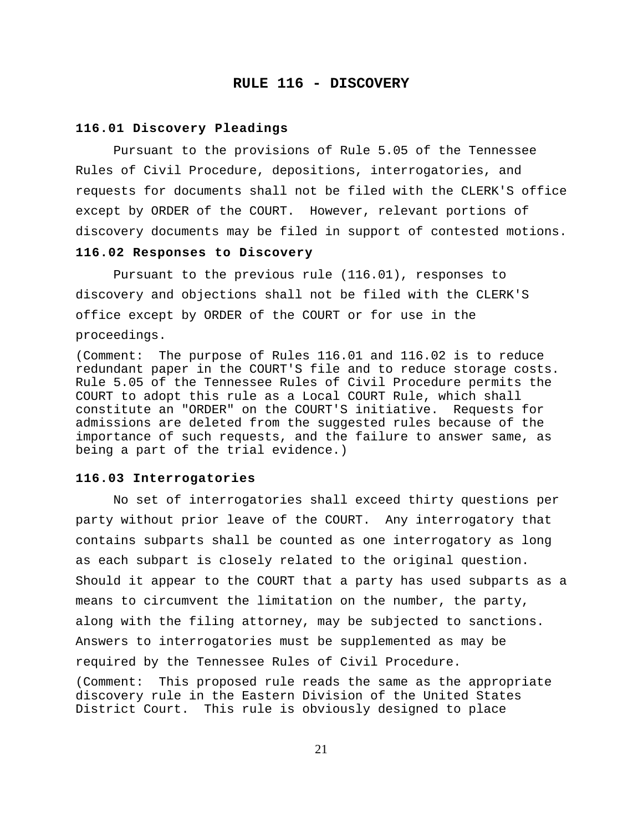#### **RULE 116 - DISCOVERY**

#### **116.01 Discovery Pleadings**

Pursuant to the provisions of Rule 5.05 of the Tennessee Rules of Civil Procedure, depositions, interrogatories, and requests for documents shall not be filed with the CLERK'S office except by ORDER of the COURT. However, relevant portions of discovery documents may be filed in support of contested motions.

#### **116.02 Responses to Discovery**

Pursuant to the previous rule (116.01), responses to discovery and objections shall not be filed with the CLERK'S office except by ORDER of the COURT or for use in the proceedings.

(Comment: The purpose of Rules 116.01 and 116.02 is to reduce redundant paper in the COURT'S file and to reduce storage costs. Rule 5.05 of the Tennessee Rules of Civil Procedure permits the COURT to adopt this rule as a Local COURT Rule, which shall constitute an "ORDER" on the COURT'S initiative. Requests for admissions are deleted from the suggested rules because of the importance of such requests, and the failure to answer same, as being a part of the trial evidence.)

#### **116.03 Interrogatories**

No set of interrogatories shall exceed thirty questions per party without prior leave of the COURT. Any interrogatory that contains subparts shall be counted as one interrogatory as long as each subpart is closely related to the original question. Should it appear to the COURT that a party has used subparts as a means to circumvent the limitation on the number, the party, along with the filing attorney, may be subjected to sanctions. Answers to interrogatories must be supplemented as may be required by the Tennessee Rules of Civil Procedure.

(Comment: This proposed rule reads the same as the appropriate discovery rule in the Eastern Division of the United States District Court. This rule is obviously designed to place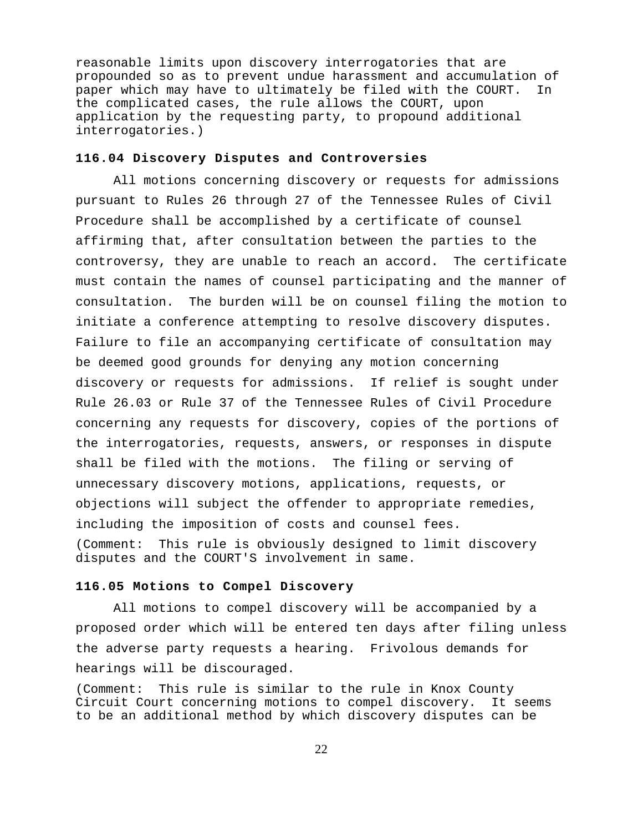reasonable limits upon discovery interrogatories that are propounded so as to prevent undue harassment and accumulation of paper which may have to ultimately be filed with the COURT. In the complicated cases, the rule allows the COURT, upon application by the requesting party, to propound additional interrogatories.)

#### **116.04 Discovery Disputes and Controversies**

All motions concerning discovery or requests for admissions pursuant to Rules 26 through 27 of the Tennessee Rules of Civil Procedure shall be accomplished by a certificate of counsel affirming that, after consultation between the parties to the controversy, they are unable to reach an accord. The certificate must contain the names of counsel participating and the manner of consultation. The burden will be on counsel filing the motion to initiate a conference attempting to resolve discovery disputes. Failure to file an accompanying certificate of consultation may be deemed good grounds for denying any motion concerning discovery or requests for admissions. If relief is sought under Rule 26.03 or Rule 37 of the Tennessee Rules of Civil Procedure concerning any requests for discovery, copies of the portions of the interrogatories, requests, answers, or responses in dispute shall be filed with the motions. The filing or serving of unnecessary discovery motions, applications, requests, or objections will subject the offender to appropriate remedies, including the imposition of costs and counsel fees. (Comment: This rule is obviously designed to limit discovery disputes and the COURT'S involvement in same.

## **116.05 Motions to Compel Discovery**

All motions to compel discovery will be accompanied by a proposed order which will be entered ten days after filing unless the adverse party requests a hearing. Frivolous demands for hearings will be discouraged.

(Comment: This rule is similar to the rule in Knox County Circuit Court concerning motions to compel discovery. It seems to be an additional method by which discovery disputes can be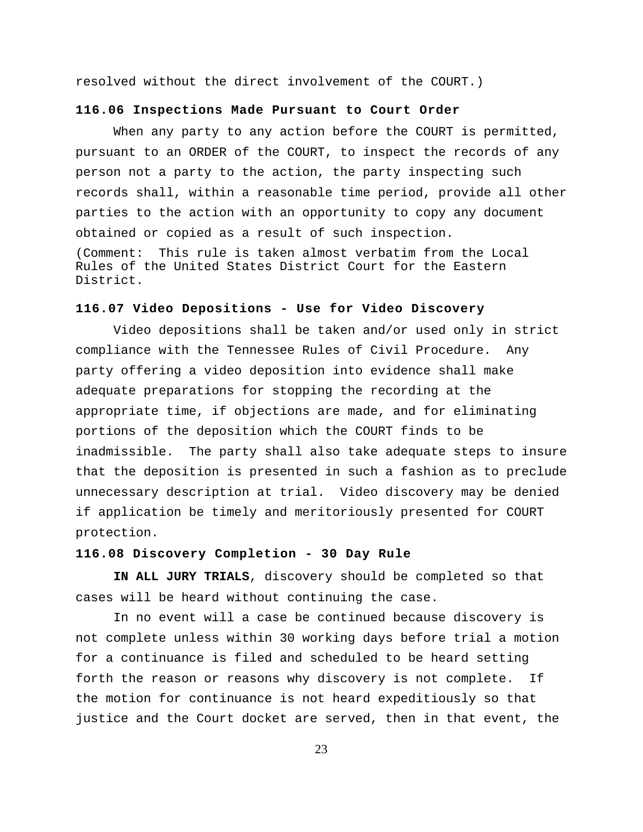resolved without the direct involvement of the COURT.)

#### **116.06 Inspections Made Pursuant to Court Order**

When any party to any action before the COURT is permitted, pursuant to an ORDER of the COURT, to inspect the records of any person not a party to the action, the party inspecting such records shall, within a reasonable time period, provide all other parties to the action with an opportunity to copy any document obtained or copied as a result of such inspection. (Comment: This rule is taken almost verbatim from the Local Rules of the United States District Court for the Eastern

District.

#### **116.07 Video Depositions - Use for Video Discovery**

Video depositions shall be taken and/or used only in strict compliance with the Tennessee Rules of Civil Procedure. Any party offering a video deposition into evidence shall make adequate preparations for stopping the recording at the appropriate time, if objections are made, and for eliminating portions of the deposition which the COURT finds to be inadmissible. The party shall also take adequate steps to insure that the deposition is presented in such a fashion as to preclude unnecessary description at trial. Video discovery may be denied if application be timely and meritoriously presented for COURT protection.

## **116.08 Discovery Completion - 30 Day Rule**

**IN ALL JURY TRIALS**, discovery should be completed so that cases will be heard without continuing the case.

In no event will a case be continued because discovery is not complete unless within 30 working days before trial a motion for a continuance is filed and scheduled to be heard setting forth the reason or reasons why discovery is not complete. If the motion for continuance is not heard expeditiously so that justice and the Court docket are served, then in that event, the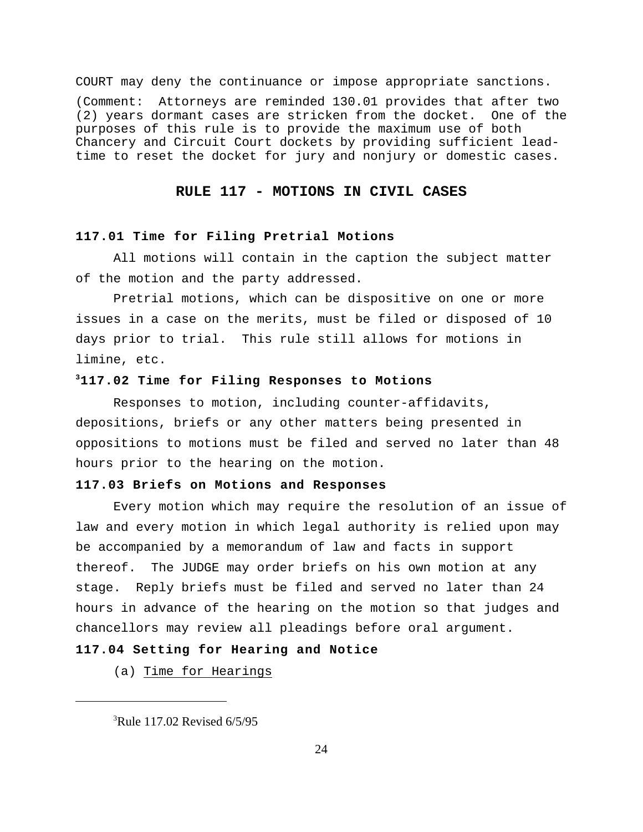COURT may deny the continuance or impose appropriate sanctions.

(Comment: Attorneys are reminded 130.01 provides that after two (2) years dormant cases are stricken from the docket. One of the purposes of this rule is to provide the maximum use of both Chancery and Circuit Court dockets by providing sufficient leadtime to reset the docket for jury and nonjury or domestic cases.

## **RULE 117 - MOTIONS IN CIVIL CASES**

## **117.01 Time for Filing Pretrial Motions**

All motions will contain in the caption the subject matter of the motion and the party addressed.

Pretrial motions, which can be dispositive on one or more issues in a case on the merits, must be filed or disposed of 10 days prior to trial. This rule still allows for motions in limine, etc.

## **117.02 Time for Filing Responses to Motions <sup>3</sup>**

Responses to motion, including counter-affidavits, depositions, briefs or any other matters being presented in oppositions to motions must be filed and served no later than 48 hours prior to the hearing on the motion.

## **117.03 Briefs on Motions and Responses**

Every motion which may require the resolution of an issue of law and every motion in which legal authority is relied upon may be accompanied by a memorandum of law and facts in support thereof. The JUDGE may order briefs on his own motion at any stage. Reply briefs must be filed and served no later than 24 hours in advance of the hearing on the motion so that judges and chancellors may review all pleadings before oral argument.

## **117.04 Setting for Hearing and Notice**

(a) Time for Hearings

 ${}^{3}$ Rule 117.02 Revised 6/5/95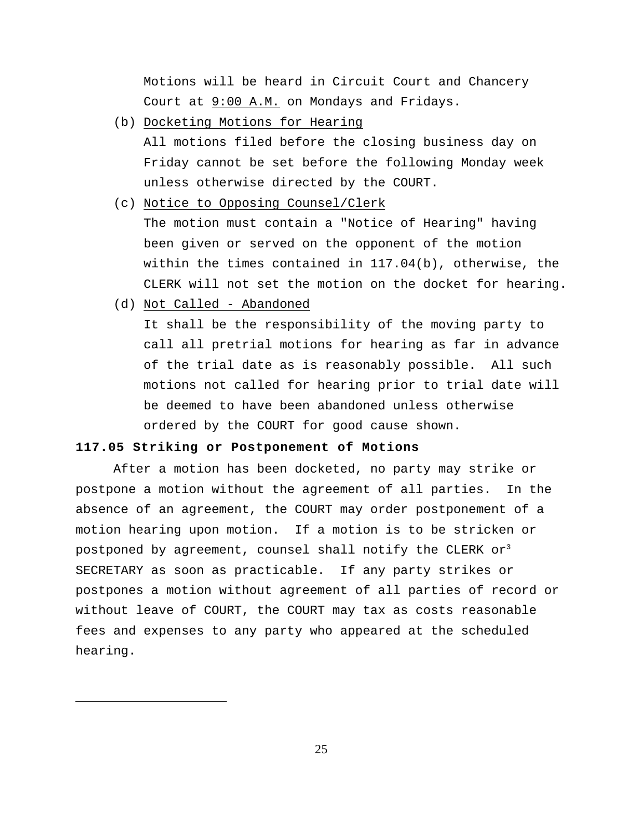Motions will be heard in Circuit Court and Chancery Court at 9:00 A.M. on Mondays and Fridays.

(b) Docketing Motions for Hearing

 All motions filed before the closing business day on Friday cannot be set before the following Monday week unless otherwise directed by the COURT.

- (c) Notice to Opposing Counsel/Clerk The motion must contain a "Notice of Hearing" having been given or served on the opponent of the motion within the times contained in 117.04(b), otherwise, the CLERK will not set the motion on the docket for hearing.
- (d) Not Called Abandoned

 It shall be the responsibility of the moving party to call all pretrial motions for hearing as far in advance of the trial date as is reasonably possible. All such motions not called for hearing prior to trial date will be deemed to have been abandoned unless otherwise ordered by the COURT for good cause shown.

## **117.05 Striking or Postponement of Motions**

After a motion has been docketed, no party may strike or postpone a motion without the agreement of all parties. In the absence of an agreement, the COURT may order postponement of a motion hearing upon motion. If a motion is to be stricken or postponed by agreement, counsel shall notify the CLERK or $3$ SECRETARY as soon as practicable. If any party strikes or postpones a motion without agreement of all parties of record or without leave of COURT, the COURT may tax as costs reasonable fees and expenses to any party who appeared at the scheduled hearing.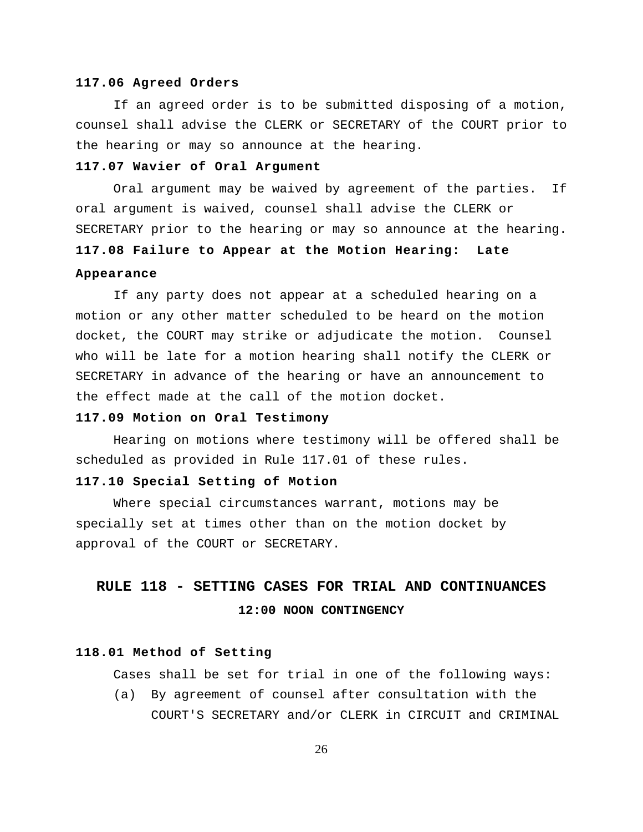#### **117.06 Agreed Orders**

If an agreed order is to be submitted disposing of a motion, counsel shall advise the CLERK or SECRETARY of the COURT prior to the hearing or may so announce at the hearing.

## **117.07 Wavier of Oral Argument**

Oral argument may be waived by agreement of the parties. If oral argument is waived, counsel shall advise the CLERK or SECRETARY prior to the hearing or may so announce at the hearing. **117.08 Failure to Appear at the Motion Hearing: Late**

## **Appearance**

If any party does not appear at a scheduled hearing on a motion or any other matter scheduled to be heard on the motion docket, the COURT may strike or adjudicate the motion. Counsel who will be late for a motion hearing shall notify the CLERK or SECRETARY in advance of the hearing or have an announcement to the effect made at the call of the motion docket.

#### **117.09 Motion on Oral Testimony**

Hearing on motions where testimony will be offered shall be scheduled as provided in Rule 117.01 of these rules.

#### **117.10 Special Setting of Motion**

Where special circumstances warrant, motions may be specially set at times other than on the motion docket by approval of the COURT or SECRETARY.

## **RULE 118 - SETTING CASES FOR TRIAL AND CONTINUANCES 12:00 NOON CONTINGENCY**

## **118.01 Method of Setting**

Cases shall be set for trial in one of the following ways:

(a) By agreement of counsel after consultation with the COURT'S SECRETARY and/or CLERK in CIRCUIT and CRIMINAL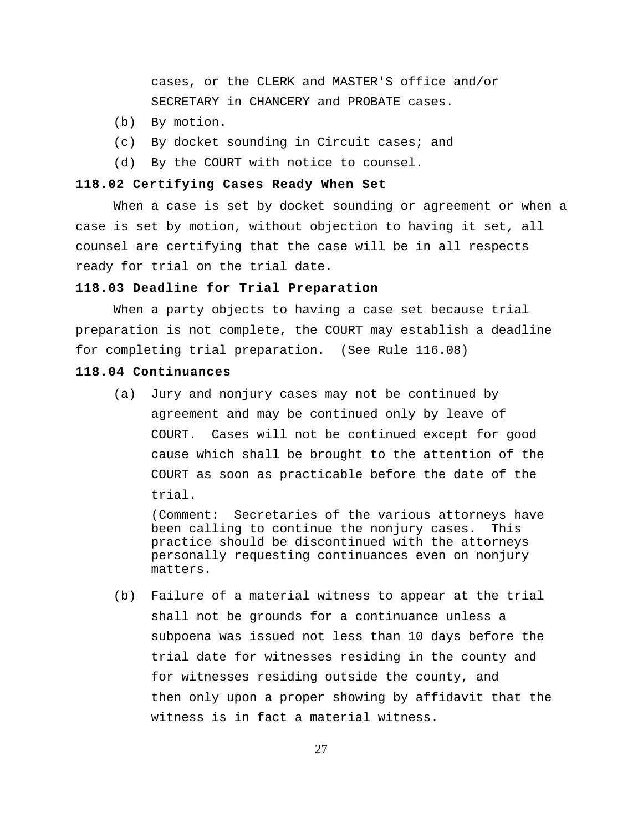cases, or the CLERK and MASTER'S office and/or SECRETARY in CHANCERY and PROBATE cases.

- (b) By motion.
- (c) By docket sounding in Circuit cases; and
- (d) By the COURT with notice to counsel.

## **118.02 Certifying Cases Ready When Set**

When a case is set by docket sounding or agreement or when a case is set by motion, without objection to having it set, all counsel are certifying that the case will be in all respects ready for trial on the trial date.

## **118.03 Deadline for Trial Preparation**

When a party objects to having a case set because trial preparation is not complete, the COURT may establish a deadline for completing trial preparation. (See Rule 116.08)

#### **118.04 Continuances**

(a) Jury and nonjury cases may not be continued by agreement and may be continued only by leave of COURT. Cases will not be continued except for good cause which shall be brought to the attention of the COURT as soon as practicable before the date of the trial.

(Comment: Secretaries of the various attorneys have been calling to continue the nonjury cases. This practice should be discontinued with the attorneys personally requesting continuances even on nonjury matters.

(b) Failure of a material witness to appear at the trial shall not be grounds for a continuance unless a subpoena was issued not less than 10 days before the trial date for witnesses residing in the county and for witnesses residing outside the county, and then only upon a proper showing by affidavit that the witness is in fact a material witness.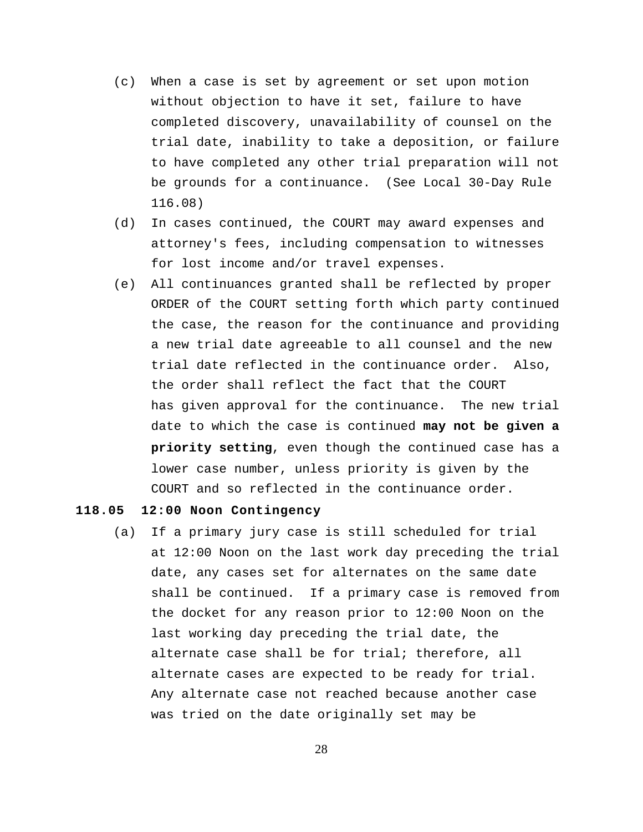- (c) When a case is set by agreement or set upon motion without objection to have it set, failure to have completed discovery, unavailability of counsel on the trial date, inability to take a deposition, or failure to have completed any other trial preparation will not be grounds for a continuance. (See Local 30-Day Rule 116.08)
- (d) In cases continued, the COURT may award expenses and attorney's fees, including compensation to witnesses for lost income and/or travel expenses.
- (e) All continuances granted shall be reflected by proper ORDER of the COURT setting forth which party continued the case, the reason for the continuance and providing a new trial date agreeable to all counsel and the new trial date reflected in the continuance order. Also, the order shall reflect the fact that the COURT has given approval for the continuance. The new trial date to which the case is continued **may not be given a priority setting**, even though the continued case has a lower case number, unless priority is given by the COURT and so reflected in the continuance order.

## **118.05 12:00 Noon Contingency**

(a) If a primary jury case is still scheduled for trial at 12:00 Noon on the last work day preceding the trial date, any cases set for alternates on the same date shall be continued. If a primary case is removed from the docket for any reason prior to 12:00 Noon on the last working day preceding the trial date, the alternate case shall be for trial; therefore, all alternate cases are expected to be ready for trial. Any alternate case not reached because another case was tried on the date originally set may be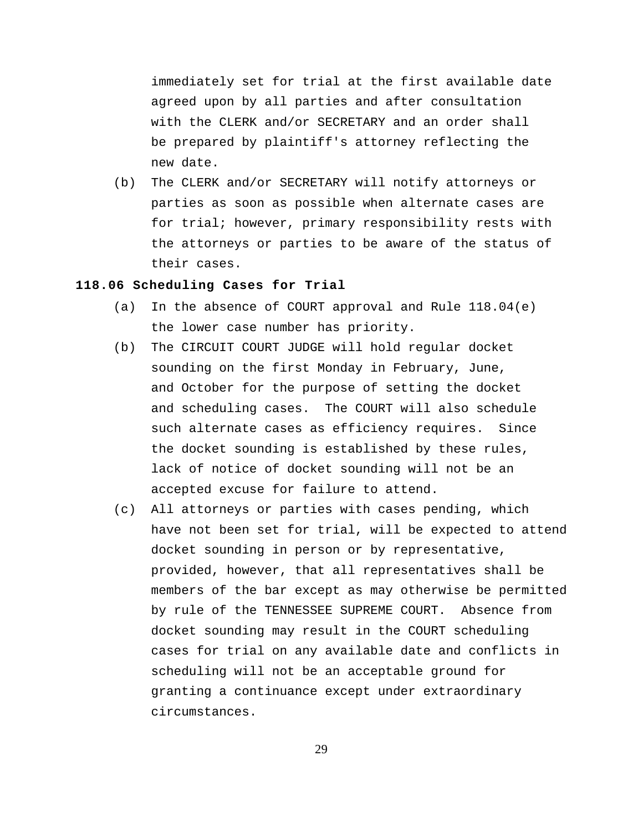immediately set for trial at the first available date agreed upon by all parties and after consultation with the CLERK and/or SECRETARY and an order shall be prepared by plaintiff's attorney reflecting the new date.

(b) The CLERK and/or SECRETARY will notify attorneys or parties as soon as possible when alternate cases are for trial; however, primary responsibility rests with the attorneys or parties to be aware of the status of their cases.

## **118.06 Scheduling Cases for Trial**

- (a) In the absence of COURT approval and Rule  $118.04(e)$ the lower case number has priority.
- (b) The CIRCUIT COURT JUDGE will hold regular docket sounding on the first Monday in February, June, and October for the purpose of setting the docket and scheduling cases. The COURT will also schedule such alternate cases as efficiency requires. Since the docket sounding is established by these rules, lack of notice of docket sounding will not be an accepted excuse for failure to attend.
- (c) All attorneys or parties with cases pending, which have not been set for trial, will be expected to attend docket sounding in person or by representative, provided, however, that all representatives shall be members of the bar except as may otherwise be permitted by rule of the TENNESSEE SUPREME COURT. Absence from docket sounding may result in the COURT scheduling cases for trial on any available date and conflicts in scheduling will not be an acceptable ground for granting a continuance except under extraordinary circumstances.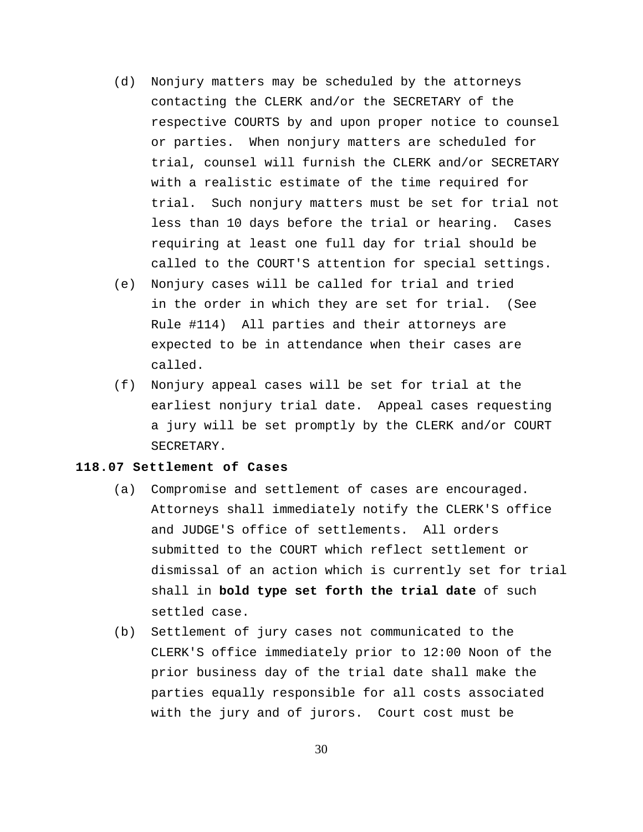- (d) Nonjury matters may be scheduled by the attorneys contacting the CLERK and/or the SECRETARY of the respective COURTS by and upon proper notice to counsel or parties. When nonjury matters are scheduled for trial, counsel will furnish the CLERK and/or SECRETARY with a realistic estimate of the time required for trial. Such nonjury matters must be set for trial not less than 10 days before the trial or hearing. Cases requiring at least one full day for trial should be called to the COURT'S attention for special settings.
- (e) Nonjury cases will be called for trial and tried in the order in which they are set for trial. (See Rule #114) All parties and their attorneys are expected to be in attendance when their cases are called.
- (f) Nonjury appeal cases will be set for trial at the earliest nonjury trial date. Appeal cases requesting a jury will be set promptly by the CLERK and/or COURT SECRETARY.

## **118.07 Settlement of Cases**

- (a) Compromise and settlement of cases are encouraged. Attorneys shall immediately notify the CLERK'S office and JUDGE'S office of settlements. All orders submitted to the COURT which reflect settlement or dismissal of an action which is currently set for trial shall in **bold type set forth the trial date** of such settled case.
- (b) Settlement of jury cases not communicated to the CLERK'S office immediately prior to 12:00 Noon of the prior business day of the trial date shall make the parties equally responsible for all costs associated with the jury and of jurors. Court cost must be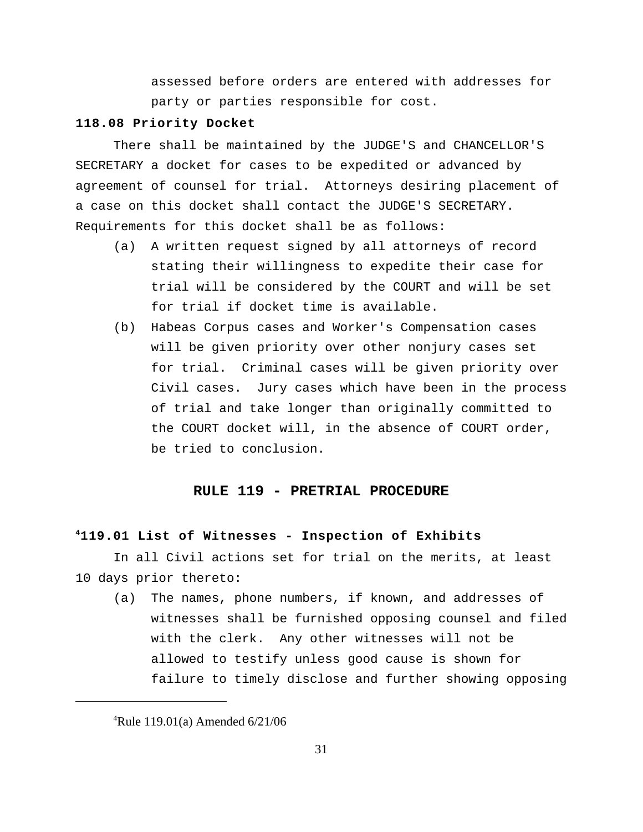assessed before orders are entered with addresses for party or parties responsible for cost.

## **118.08 Priority Docket**

There shall be maintained by the JUDGE'S and CHANCELLOR'S SECRETARY a docket for cases to be expedited or advanced by agreement of counsel for trial. Attorneys desiring placement of a case on this docket shall contact the JUDGE'S SECRETARY. Requirements for this docket shall be as follows:

- (a) A written request signed by all attorneys of record stating their willingness to expedite their case for trial will be considered by the COURT and will be set for trial if docket time is available.
- (b) Habeas Corpus cases and Worker's Compensation cases will be given priority over other nonjury cases set for trial. Criminal cases will be given priority over Civil cases. Jury cases which have been in the process of trial and take longer than originally committed to the COURT docket will, in the absence of COURT order, be tried to conclusion.

## **RULE 119 - PRETRIAL PROCEDURE**

#### **119.01 List of Witnesses - Inspection of Exhibits <sup>4</sup>**

In all Civil actions set for trial on the merits, at least 10 days prior thereto:

(a) The names, phone numbers, if known, and addresses of witnesses shall be furnished opposing counsel and filed with the clerk. Any other witnesses will not be allowed to testify unless good cause is shown for failure to timely disclose and further showing opposing

<sup>&</sup>lt;sup>4</sup>Rule 119.01(a) Amended  $6/21/06$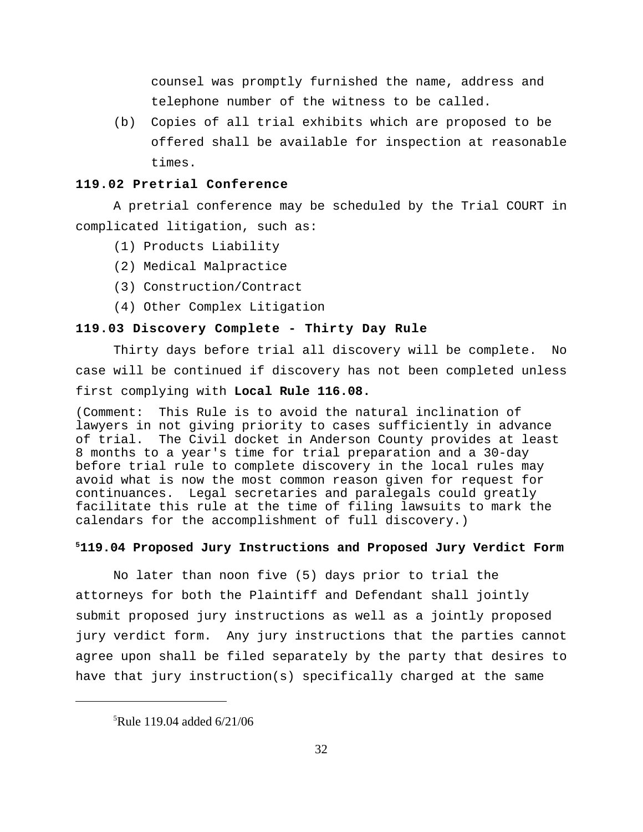counsel was promptly furnished the name, address and telephone number of the witness to be called.

(b) Copies of all trial exhibits which are proposed to be offered shall be available for inspection at reasonable times.

## **119.02 Pretrial Conference**

A pretrial conference may be scheduled by the Trial COURT in complicated litigation, such as:

- (1) Products Liability
- (2) Medical Malpractice
- (3) Construction/Contract
- (4) Other Complex Litigation

## **119.03 Discovery Complete - Thirty Day Rule**

Thirty days before trial all discovery will be complete. No case will be continued if discovery has not been completed unless first complying with **Local Rule 116.08.**

(Comment: This Rule is to avoid the natural inclination of lawyers in not giving priority to cases sufficiently in advance of trial. The Civil docket in Anderson County provides at least 8 months to a year's time for trial preparation and a 30-day before trial rule to complete discovery in the local rules may avoid what is now the most common reason given for request for continuances. Legal secretaries and paralegals could greatly facilitate this rule at the time of filing lawsuits to mark the calendars for the accomplishment of full discovery.)

#### **119.04 Proposed Jury Instructions and Proposed Jury Verdict Form <sup>5</sup>**

No later than noon five (5) days prior to trial the attorneys for both the Plaintiff and Defendant shall jointly submit proposed jury instructions as well as a jointly proposed jury verdict form. Any jury instructions that the parties cannot agree upon shall be filed separately by the party that desires to have that jury instruction(s) specifically charged at the same

 ${}^{5}$ Rule 119.04 added 6/21/06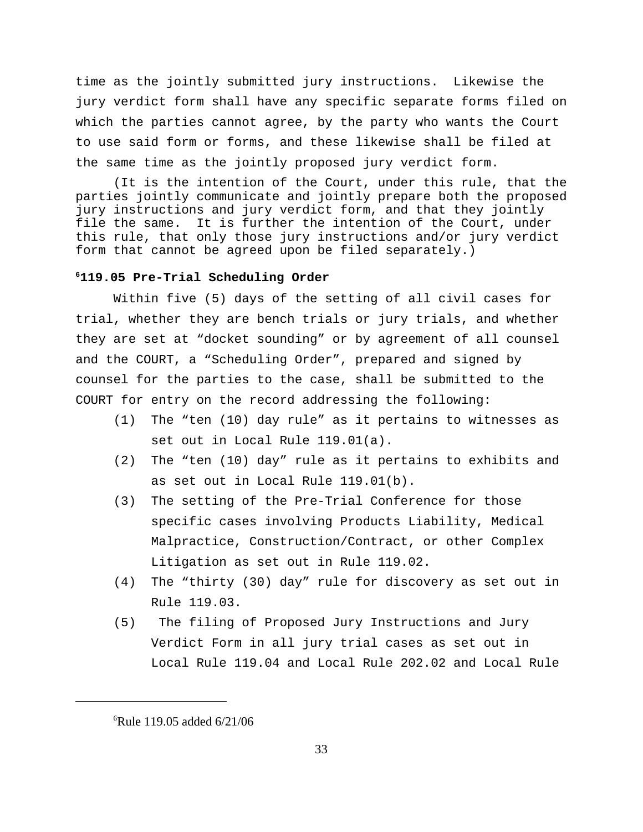time as the jointly submitted jury instructions. Likewise the jury verdict form shall have any specific separate forms filed on which the parties cannot agree, by the party who wants the Court to use said form or forms, and these likewise shall be filed at the same time as the jointly proposed jury verdict form.

(It is the intention of the Court, under this rule, that the parties jointly communicate and jointly prepare both the proposed jury instructions and jury verdict form, and that they jointly file the same. It is further the intention of the Court, under this rule, that only those jury instructions and/or jury verdict form that cannot be agreed upon be filed separately.)

#### **119.05 Pre-Trial Scheduling Order <sup>6</sup>**

Within five (5) days of the setting of all civil cases for trial, whether they are bench trials or jury trials, and whether they are set at "docket sounding" or by agreement of all counsel and the COURT, a "Scheduling Order", prepared and signed by counsel for the parties to the case, shall be submitted to the COURT for entry on the record addressing the following:

- (1) The "ten (10) day rule" as it pertains to witnesses as set out in Local Rule 119.01(a).
- (2) The "ten (10) day" rule as it pertains to exhibits and as set out in Local Rule 119.01(b).
- (3) The setting of the Pre-Trial Conference for those specific cases involving Products Liability, Medical Malpractice, Construction/Contract, or other Complex Litigation as set out in Rule 119.02.
- (4) The "thirty (30) day" rule for discovery as set out in Rule 119.03.
- (5) The filing of Proposed Jury Instructions and Jury Verdict Form in all jury trial cases as set out in Local Rule 119.04 and Local Rule 202.02 and Local Rule

 ${}^{6}$ Rule 119.05 added 6/21/06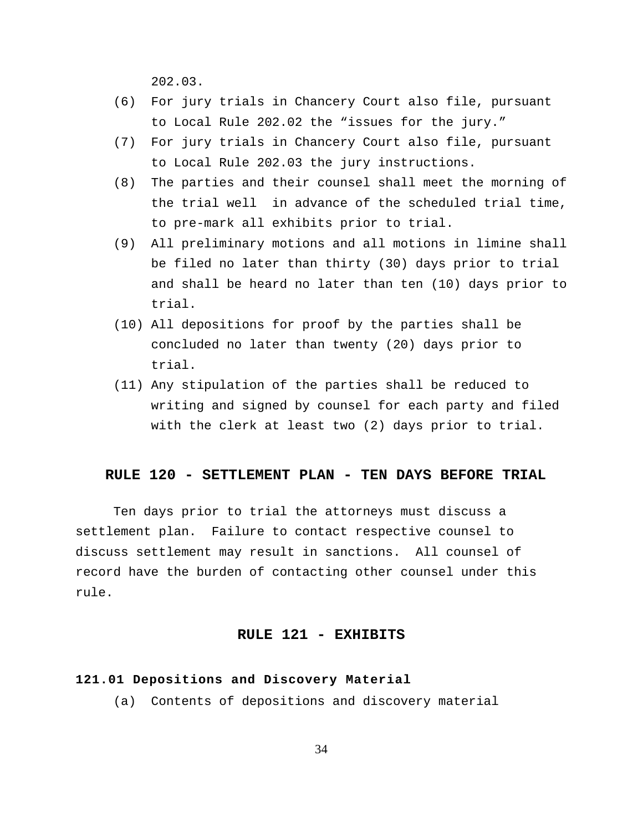202.03.

- (6) For jury trials in Chancery Court also file, pursuant to Local Rule 202.02 the "issues for the jury."
- (7) For jury trials in Chancery Court also file, pursuant to Local Rule 202.03 the jury instructions.
- (8) The parties and their counsel shall meet the morning of the trial well in advance of the scheduled trial time, to pre-mark all exhibits prior to trial.
- (9) All preliminary motions and all motions in limine shall be filed no later than thirty (30) days prior to trial and shall be heard no later than ten (10) days prior to trial.
- (10) All depositions for proof by the parties shall be concluded no later than twenty (20) days prior to trial.
- (11) Any stipulation of the parties shall be reduced to writing and signed by counsel for each party and filed with the clerk at least two (2) days prior to trial.

## **RULE 120 - SETTLEMENT PLAN - TEN DAYS BEFORE TRIAL**

Ten days prior to trial the attorneys must discuss a settlement plan. Failure to contact respective counsel to discuss settlement may result in sanctions. All counsel of record have the burden of contacting other counsel under this rule.

## **RULE 121 - EXHIBITS**

#### **121.01 Depositions and Discovery Material**

(a) Contents of depositions and discovery material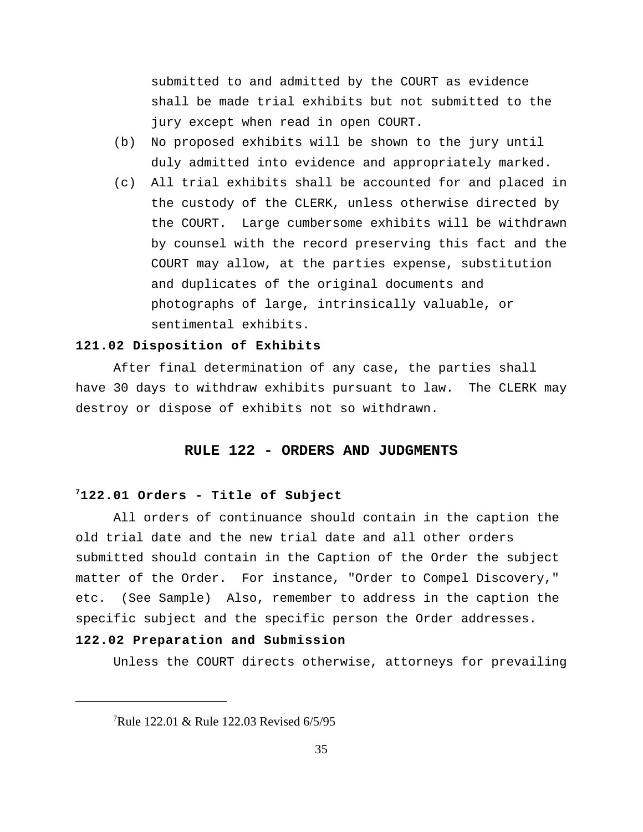submitted to and admitted by the COURT as evidence shall be made trial exhibits but not submitted to the jury except when read in open COURT.

- (b) No proposed exhibits will be shown to the jury until duly admitted into evidence and appropriately marked.
- (c) All trial exhibits shall be accounted for and placed in the custody of the CLERK, unless otherwise directed by the COURT. Large cumbersome exhibits will be withdrawn by counsel with the record preserving this fact and the COURT may allow, at the parties expense, substitution and duplicates of the original documents and photographs of large, intrinsically valuable, or sentimental exhibits.

## **121.02 Disposition of Exhibits**

After final determination of any case, the parties shall have 30 days to withdraw exhibits pursuant to law. The CLERK may destroy or dispose of exhibits not so withdrawn.

## **RULE 122 - ORDERS AND JUDGMENTS**

#### **122.01 Orders - Title of Subject <sup>7</sup>**

All orders of continuance should contain in the caption the old trial date and the new trial date and all other orders submitted should contain in the Caption of the Order the subject matter of the Order. For instance, "Order to Compel Discovery," etc. (See Sample) Also, remember to address in the caption the specific subject and the specific person the Order addresses.

#### **122.02 Preparation and Submission**

Unless the COURT directs otherwise, attorneys for prevailing

<sup>&</sup>lt;sup>7</sup>Rule 122.01 & Rule 122.03 Revised  $6/5/95$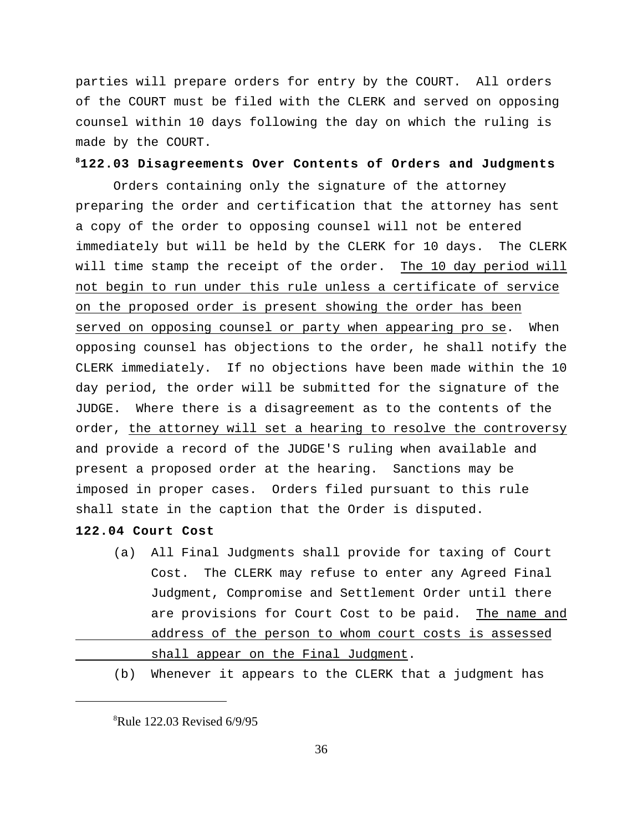parties will prepare orders for entry by the COURT. All orders of the COURT must be filed with the CLERK and served on opposing counsel within 10 days following the day on which the ruling is made by the COURT.

#### **122.03 Disagreements Over Contents of Orders and Judgments <sup>8</sup>**

Orders containing only the signature of the attorney preparing the order and certification that the attorney has sent a copy of the order to opposing counsel will not be entered immediately but will be held by the CLERK for 10 days. The CLERK will time stamp the receipt of the order. The 10 day period will not begin to run under this rule unless a certificate of service on the proposed order is present showing the order has been served on opposing counsel or party when appearing pro se. When opposing counsel has objections to the order, he shall notify the CLERK immediately. If no objections have been made within the 10 day period, the order will be submitted for the signature of the JUDGE. Where there is a disagreement as to the contents of the order, the attorney will set a hearing to resolve the controversy and provide a record of the JUDGE'S ruling when available and present a proposed order at the hearing. Sanctions may be imposed in proper cases. Orders filed pursuant to this rule shall state in the caption that the Order is disputed.

## **122.04 Court Cost**

- (a) All Final Judgments shall provide for taxing of Court Cost. The CLERK may refuse to enter any Agreed Final Judgment, Compromise and Settlement Order until there are provisions for Court Cost to be paid. The name and address of the person to whom court costs is assessed shall appear on the Final Judgment.
- (b) Whenever it appears to the CLERK that a judgment has

 $Rule$  122.03 Revised 6/9/95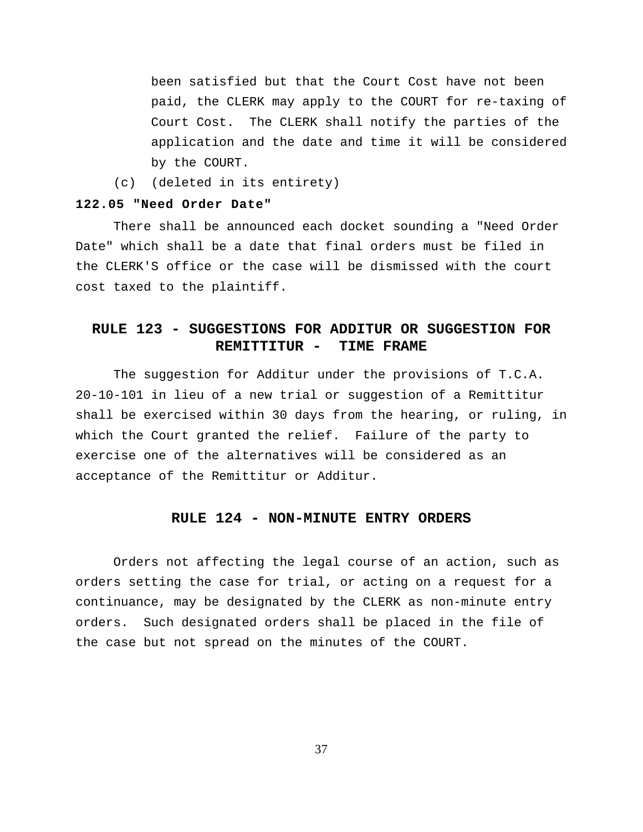been satisfied but that the Court Cost have not been paid, the CLERK may apply to the COURT for re-taxing of Court Cost. The CLERK shall notify the parties of the application and the date and time it will be considered by the COURT.

(c) (deleted in its entirety)

#### **122.05 "Need Order Date"**

There shall be announced each docket sounding a "Need Order Date" which shall be a date that final orders must be filed in the CLERK'S office or the case will be dismissed with the court cost taxed to the plaintiff.

## **RULE 123 - SUGGESTIONS FOR ADDITUR OR SUGGESTION FOR REMITTITUR - TIME FRAME**

The suggestion for Additur under the provisions of T.C.A. 20-10-101 in lieu of a new trial or suggestion of a Remittitur shall be exercised within 30 days from the hearing, or ruling, in which the Court granted the relief. Failure of the party to exercise one of the alternatives will be considered as an acceptance of the Remittitur or Additur.

#### **RULE 124 - NON-MINUTE ENTRY ORDERS**

Orders not affecting the legal course of an action, such as orders setting the case for trial, or acting on a request for a continuance, may be designated by the CLERK as non-minute entry orders. Such designated orders shall be placed in the file of the case but not spread on the minutes of the COURT.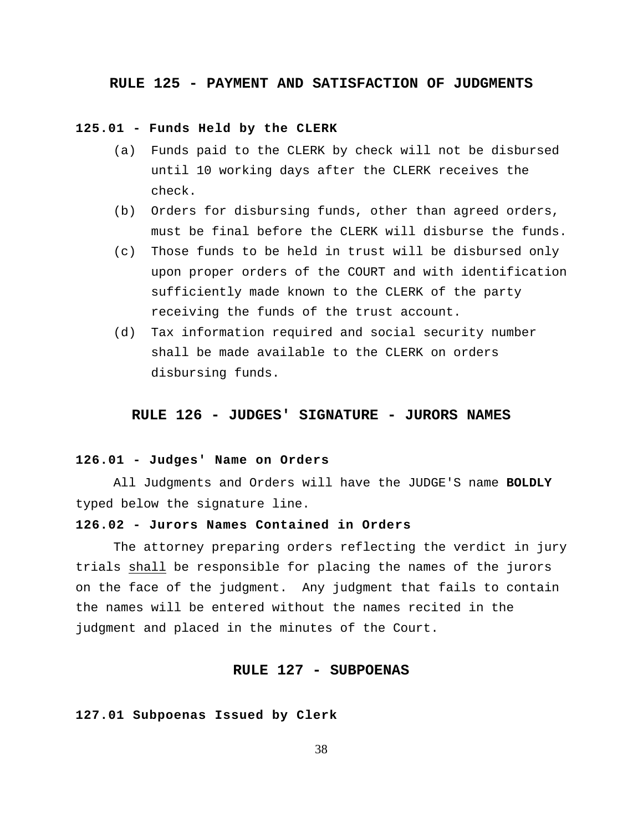#### **RULE 125 - PAYMENT AND SATISFACTION OF JUDGMENTS**

### **125.01 - Funds Held by the CLERK**

- (a) Funds paid to the CLERK by check will not be disbursed until 10 working days after the CLERK receives the check.
- (b) Orders for disbursing funds, other than agreed orders, must be final before the CLERK will disburse the funds.
- (c) Those funds to be held in trust will be disbursed only upon proper orders of the COURT and with identification sufficiently made known to the CLERK of the party receiving the funds of the trust account.
- (d) Tax information required and social security number shall be made available to the CLERK on orders disbursing funds.

## **RULE 126 - JUDGES' SIGNATURE - JURORS NAMES**

## **126.01 - Judges' Name on Orders**

All Judgments and Orders will have the JUDGE'S name **BOLDLY** typed below the signature line.

## **126.02 - Jurors Names Contained in Orders**

The attorney preparing orders reflecting the verdict in jury trials shall be responsible for placing the names of the jurors on the face of the judgment. Any judgment that fails to contain the names will be entered without the names recited in the judgment and placed in the minutes of the Court.

## **RULE 127 - SUBPOENAS**

#### **127.01 Subpoenas Issued by Clerk**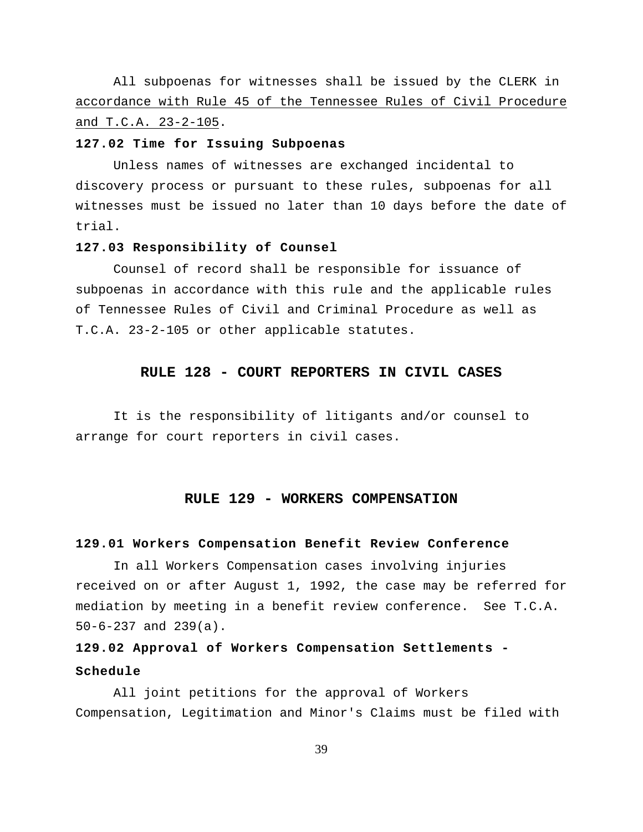All subpoenas for witnesses shall be issued by the CLERK in accordance with Rule 45 of the Tennessee Rules of Civil Procedure and T.C.A. 23-2-105.

#### **127.02 Time for Issuing Subpoenas**

Unless names of witnesses are exchanged incidental to discovery process or pursuant to these rules, subpoenas for all witnesses must be issued no later than 10 days before the date of trial.

#### **127.03 Responsibility of Counsel**

Counsel of record shall be responsible for issuance of subpoenas in accordance with this rule and the applicable rules of Tennessee Rules of Civil and Criminal Procedure as well as T.C.A. 23-2-105 or other applicable statutes.

#### **RULE 128 - COURT REPORTERS IN CIVIL CASES**

It is the responsibility of litigants and/or counsel to arrange for court reporters in civil cases.

#### **RULE 129 - WORKERS COMPENSATION**

### **129.01 Workers Compensation Benefit Review Conference**

In all Workers Compensation cases involving injuries received on or after August 1, 1992, the case may be referred for mediation by meeting in a benefit review conference. See T.C.A. 50-6-237 and 239(a).

## **129.02 Approval of Workers Compensation Settlements - Schedule**

All joint petitions for the approval of Workers Compensation, Legitimation and Minor's Claims must be filed with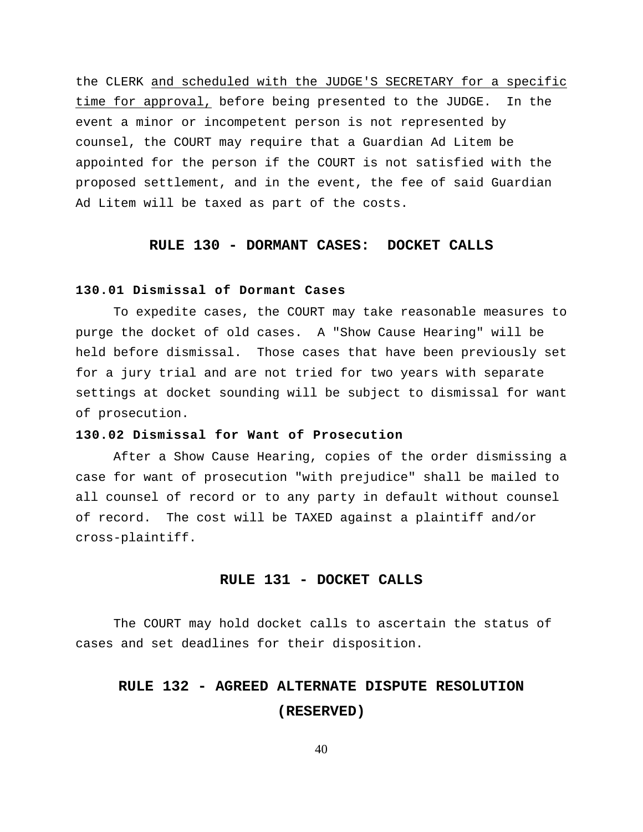the CLERK and scheduled with the JUDGE'S SECRETARY for a specific time for approval, before being presented to the JUDGE. In the event a minor or incompetent person is not represented by counsel, the COURT may require that a Guardian Ad Litem be appointed for the person if the COURT is not satisfied with the proposed settlement, and in the event, the fee of said Guardian Ad Litem will be taxed as part of the costs.

## **RULE 130 - DORMANT CASES: DOCKET CALLS**

#### **130.01 Dismissal of Dormant Cases**

To expedite cases, the COURT may take reasonable measures to purge the docket of old cases. A "Show Cause Hearing" will be held before dismissal. Those cases that have been previously set for a jury trial and are not tried for two years with separate settings at docket sounding will be subject to dismissal for want of prosecution.

## **130.02 Dismissal for Want of Prosecution**

After a Show Cause Hearing, copies of the order dismissing a case for want of prosecution "with prejudice" shall be mailed to all counsel of record or to any party in default without counsel of record. The cost will be TAXED against a plaintiff and/or cross-plaintiff.

#### **RULE 131 - DOCKET CALLS**

The COURT may hold docket calls to ascertain the status of cases and set deadlines for their disposition.

# **RULE 132 - AGREED ALTERNATE DISPUTE RESOLUTION (RESERVED)**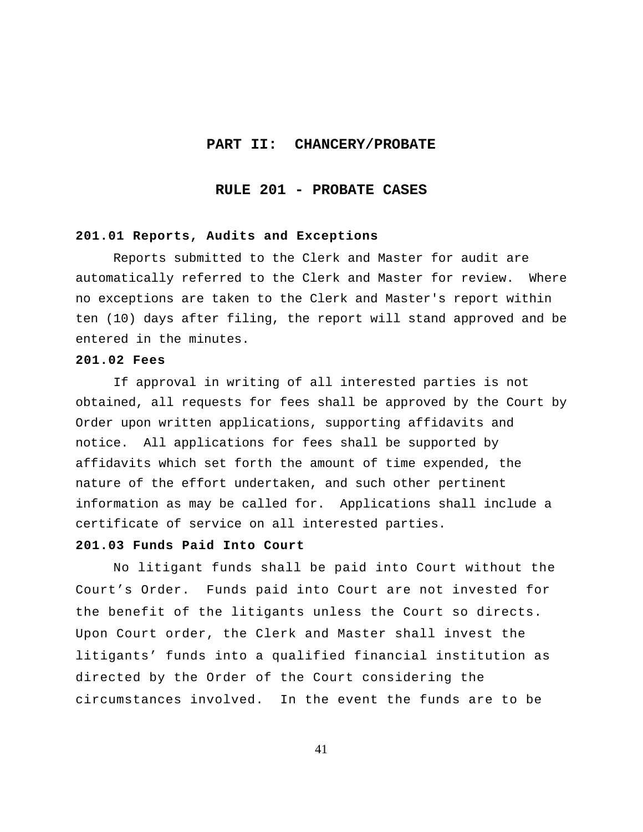#### **PART II: CHANCERY/PROBATE**

## **RULE 201 - PROBATE CASES**

## **201.01 Reports, Audits and Exceptions**

Reports submitted to the Clerk and Master for audit are automatically referred to the Clerk and Master for review. Where no exceptions are taken to the Clerk and Master's report within ten (10) days after filing, the report will stand approved and be entered in the minutes.

#### **201.02 Fees**

If approval in writing of all interested parties is not obtained, all requests for fees shall be approved by the Court by Order upon written applications, supporting affidavits and notice. All applications for fees shall be supported by affidavits which set forth the amount of time expended, the nature of the effort undertaken, and such other pertinent information as may be called for. Applications shall include a certificate of service on all interested parties.

## **201.03 Funds Paid Into Court**

No litigant funds shall be paid into Court without the Court's Order. Funds paid into Court are not invested for the benefit of the litigants unless the Court so directs. Upon Court order, the Clerk and Master shall invest the litigants' funds into a qualified financial institution as directed by the Order of the Court considering the circumstances involved. In the event the funds are to be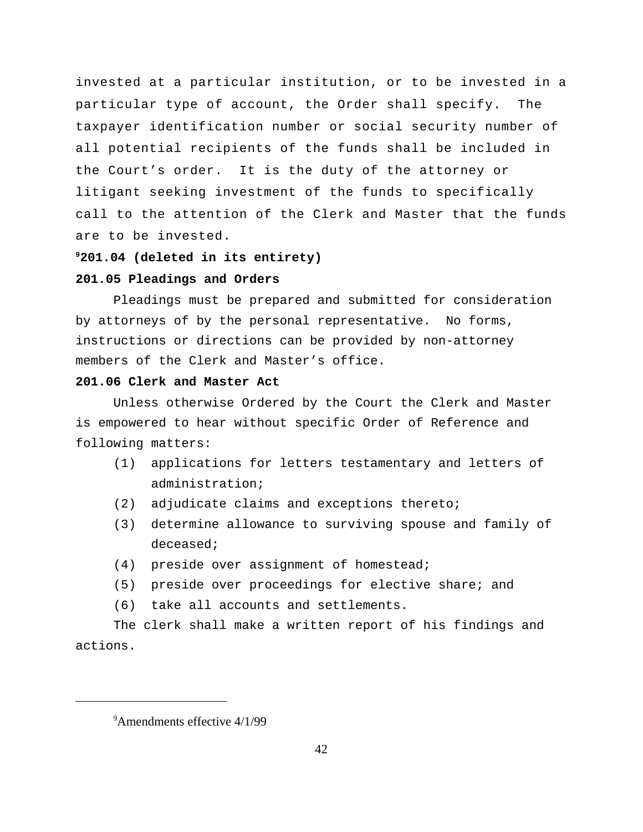invested at a particular institution, or to be invested in a particular type of account, the Order shall specify. The taxpayer identification number or social security number of all potential recipients of the funds shall be included in the Court's order. It is the duty of the attorney or litigant seeking investment of the funds to specifically call to the attention of the Clerk and Master that the funds are to be invested.

#### **201.04 (deleted in its entirety) <sup>9</sup>**

### **201.05 Pleadings and Orders**

Pleadings must be prepared and submitted for consideration by attorneys of by the personal representative. No forms, instructions or directions can be provided by non-attorney members of the Clerk and Master's office.

## **201.06 Clerk and Master Act**

Unless otherwise Ordered by the Court the Clerk and Master is empowered to hear without specific Order of Reference and following matters:

- (1) applications for letters testamentary and letters of administration;
- (2) adjudicate claims and exceptions thereto;
- (3) determine allowance to surviving spouse and family of deceased;
- (4) preside over assignment of homestead;
- (5) preside over proceedings for elective share; and
- (6) take all accounts and settlements.

The clerk shall make a written report of his findings and actions.

 $9^9$ Amendments effective 4/1/99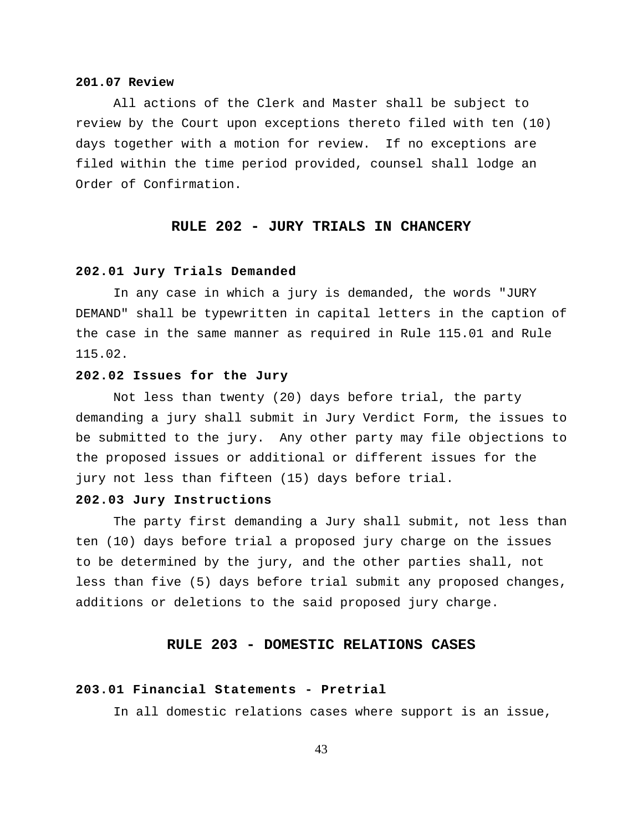#### **201.07 Review**

All actions of the Clerk and Master shall be subject to review by the Court upon exceptions thereto filed with ten (10) days together with a motion for review. If no exceptions are filed within the time period provided, counsel shall lodge an Order of Confirmation.

## **RULE 202 - JURY TRIALS IN CHANCERY**

#### **202.01 Jury Trials Demanded**

In any case in which a jury is demanded, the words "JURY DEMAND" shall be typewritten in capital letters in the caption of the case in the same manner as required in Rule 115.01 and Rule 115.02.

## **202.02 Issues for the Jury**

Not less than twenty (20) days before trial, the party demanding a jury shall submit in Jury Verdict Form, the issues to be submitted to the jury. Any other party may file objections to the proposed issues or additional or different issues for the jury not less than fifteen (15) days before trial.

#### **202.03 Jury Instructions**

The party first demanding a Jury shall submit, not less than ten (10) days before trial a proposed jury charge on the issues to be determined by the jury, and the other parties shall, not less than five (5) days before trial submit any proposed changes, additions or deletions to the said proposed jury charge.

#### **RULE 203 - DOMESTIC RELATIONS CASES**

#### **203.01 Financial Statements - Pretrial**

In all domestic relations cases where support is an issue,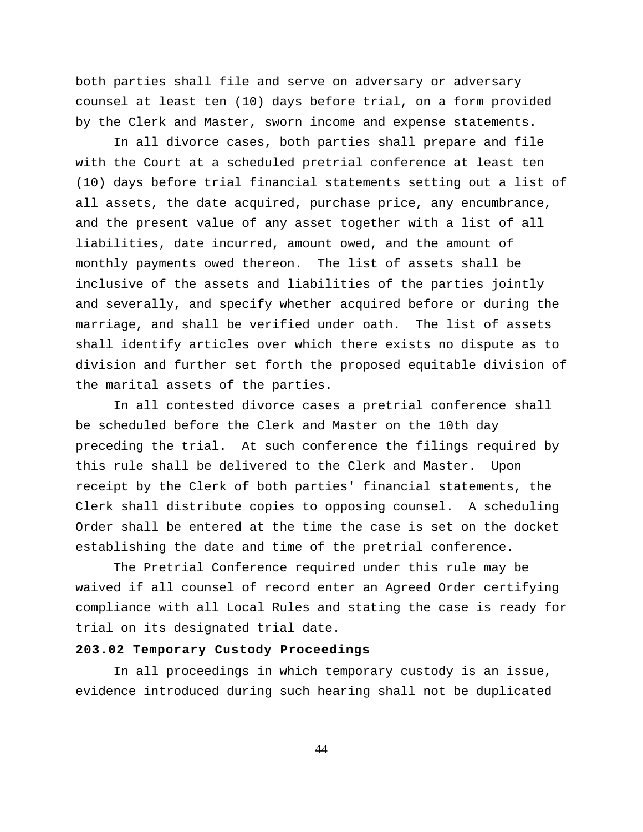both parties shall file and serve on adversary or adversary counsel at least ten (10) days before trial, on a form provided by the Clerk and Master, sworn income and expense statements.

In all divorce cases, both parties shall prepare and file with the Court at a scheduled pretrial conference at least ten (10) days before trial financial statements setting out a list of all assets, the date acquired, purchase price, any encumbrance, and the present value of any asset together with a list of all liabilities, date incurred, amount owed, and the amount of monthly payments owed thereon. The list of assets shall be inclusive of the assets and liabilities of the parties jointly and severally, and specify whether acquired before or during the marriage, and shall be verified under oath. The list of assets shall identify articles over which there exists no dispute as to division and further set forth the proposed equitable division of the marital assets of the parties.

In all contested divorce cases a pretrial conference shall be scheduled before the Clerk and Master on the 10th day preceding the trial. At such conference the filings required by this rule shall be delivered to the Clerk and Master. Upon receipt by the Clerk of both parties' financial statements, the Clerk shall distribute copies to opposing counsel. A scheduling Order shall be entered at the time the case is set on the docket establishing the date and time of the pretrial conference.

The Pretrial Conference required under this rule may be waived if all counsel of record enter an Agreed Order certifying compliance with all Local Rules and stating the case is ready for trial on its designated trial date.

### **203.02 Temporary Custody Proceedings**

In all proceedings in which temporary custody is an issue, evidence introduced during such hearing shall not be duplicated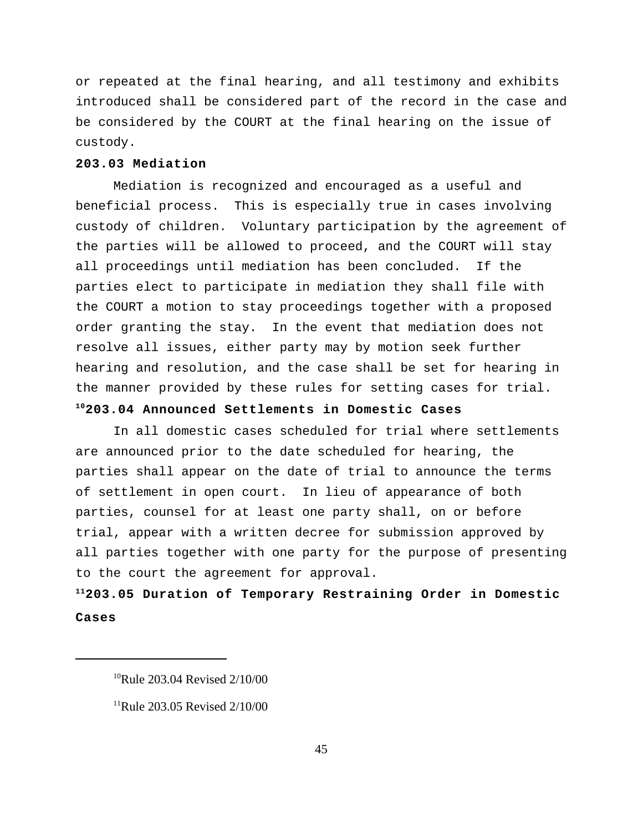or repeated at the final hearing, and all testimony and exhibits introduced shall be considered part of the record in the case and be considered by the COURT at the final hearing on the issue of custody.

## **203.03 Mediation**

Mediation is recognized and encouraged as a useful and beneficial process. This is especially true in cases involving custody of children. Voluntary participation by the agreement of the parties will be allowed to proceed, and the COURT will stay all proceedings until mediation has been concluded. If the parties elect to participate in mediation they shall file with the COURT a motion to stay proceedings together with a proposed order granting the stay. In the event that mediation does not resolve all issues, either party may by motion seek further hearing and resolution, and the case shall be set for hearing in the manner provided by these rules for setting cases for trial.

## **203.04 Announced Settlements in Domestic Cases <sup>10</sup>**

In all domestic cases scheduled for trial where settlements are announced prior to the date scheduled for hearing, the parties shall appear on the date of trial to announce the terms of settlement in open court. In lieu of appearance of both parties, counsel for at least one party shall, on or before trial, appear with a written decree for submission approved by all parties together with one party for the purpose of presenting to the court the agreement for approval.

## **203.05 Duration of Temporary Restraining Order in Domestic <sup>11</sup> Cases**

 $10$ Rule 203.04 Revised 2/10/00

 $^{11}$ Rule 203.05 Revised 2/10/00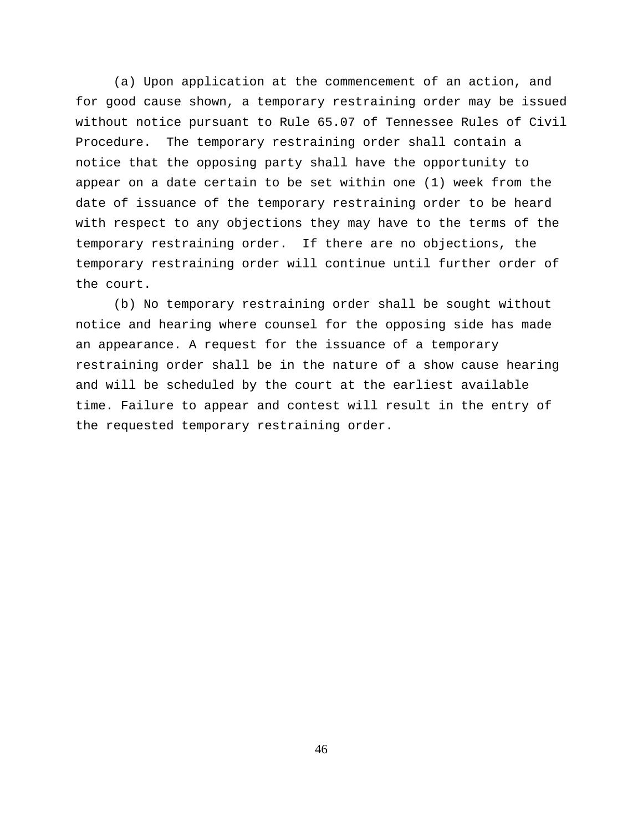(a) Upon application at the commencement of an action, and for good cause shown, a temporary restraining order may be issued without notice pursuant to Rule 65.07 of Tennessee Rules of Civil Procedure. The temporary restraining order shall contain a notice that the opposing party shall have the opportunity to appear on a date certain to be set within one (1) week from the date of issuance of the temporary restraining order to be heard with respect to any objections they may have to the terms of the temporary restraining order. If there are no objections, the temporary restraining order will continue until further order of the court.

(b) No temporary restraining order shall be sought without notice and hearing where counsel for the opposing side has made an appearance. A request for the issuance of a temporary restraining order shall be in the nature of a show cause hearing and will be scheduled by the court at the earliest available time. Failure to appear and contest will result in the entry of the requested temporary restraining order.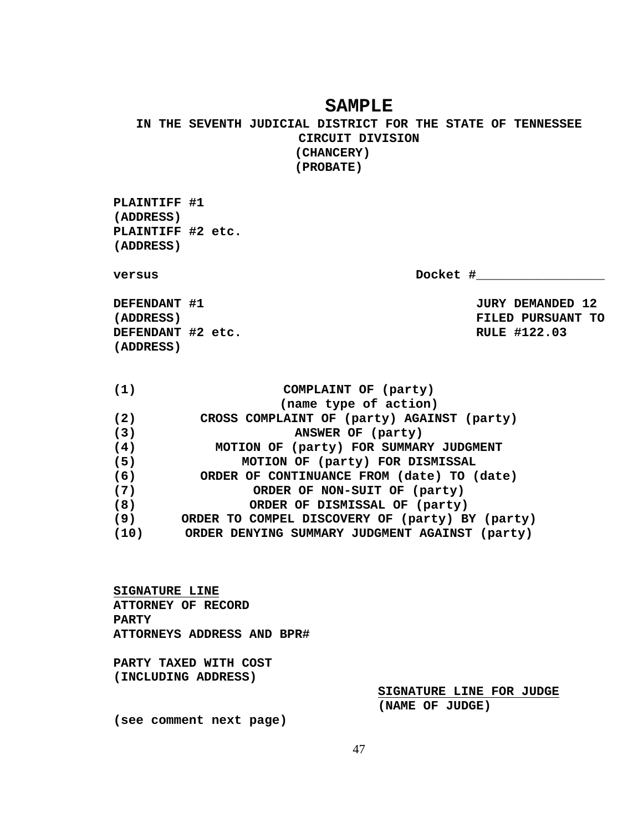## **SAMPLE**

**IN THE SEVENTH JUDICIAL DISTRICT FOR THE STATE OF TENNESSEE CIRCUIT DIVISION (CHANCERY) (PROBATE)**

**PLAINTIFF #1 (ADDRESS) PLAINTIFF #2 etc. (ADDRESS)**

**versus bocket #\_\_\_\_\_\_\_\_\_\_\_\_\_\_\_\_** 

**DEFENDANT #1** JURY DEMANDED 12 **DEFENDANT #2 etc. RULE #122.03 (ADDRESS)**

**(ADDRESS) FILED PURSUANT TO**

| (1)  | COMPLAINT OF (party)                            |
|------|-------------------------------------------------|
|      | (name type of action)                           |
| (2)  | CROSS COMPLAINT OF (party) AGAINST (party)      |
| (3)  | ANSWER OF (party)                               |
| (4)  | MOTION OF (party) FOR SUMMARY JUDGMENT          |
| (5)  | MOTION OF (party) FOR DISMISSAL                 |
| (6)  | ORDER OF CONTINUANCE FROM (date) TO (date)      |
| (7)  | ORDER OF NON-SUIT OF (party)                    |
| (8)  | ORDER OF DISMISSAL OF (party)                   |
| (9)  | ORDER TO COMPEL DISCOVERY OF (party) BY (party) |
| (10) | ORDER DENYING SUMMARY JUDGMENT AGAINST (party)  |
|      |                                                 |

**SIGNATURE LINE ATTORNEY OF RECORD PARTY ATTORNEYS ADDRESS AND BPR#**

**PARTY TAXED WITH COST (INCLUDING ADDRESS)**

> **SIGNATURE LINE FOR JUDGE (NAME OF JUDGE)**

**(see comment next page)**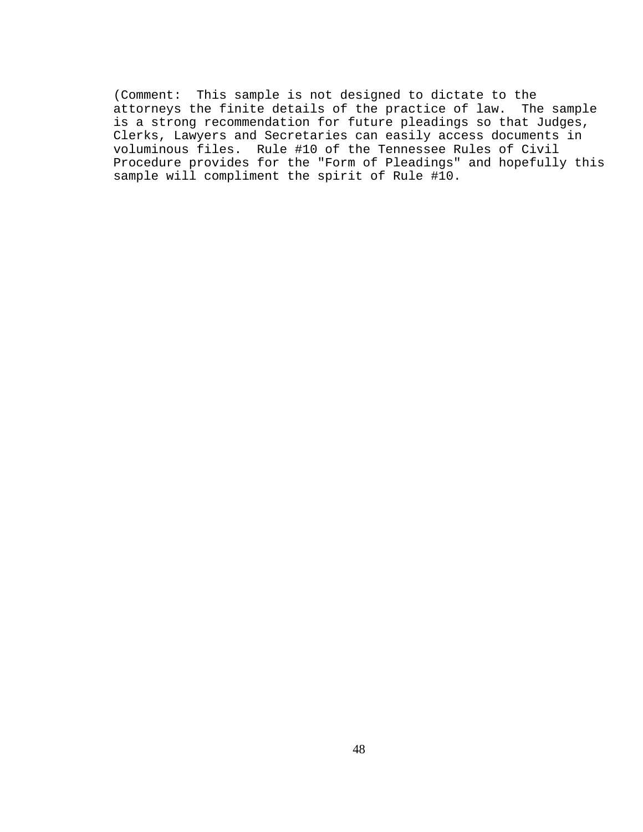(Comment: This sample is not designed to dictate to the attorneys the finite details of the practice of law. The sample is a strong recommendation for future pleadings so that Judges, Clerks, Lawyers and Secretaries can easily access documents in voluminous files. Rule #10 of the Tennessee Rules of Civil Procedure provides for the "Form of Pleadings" and hopefully this sample will compliment the spirit of Rule #10.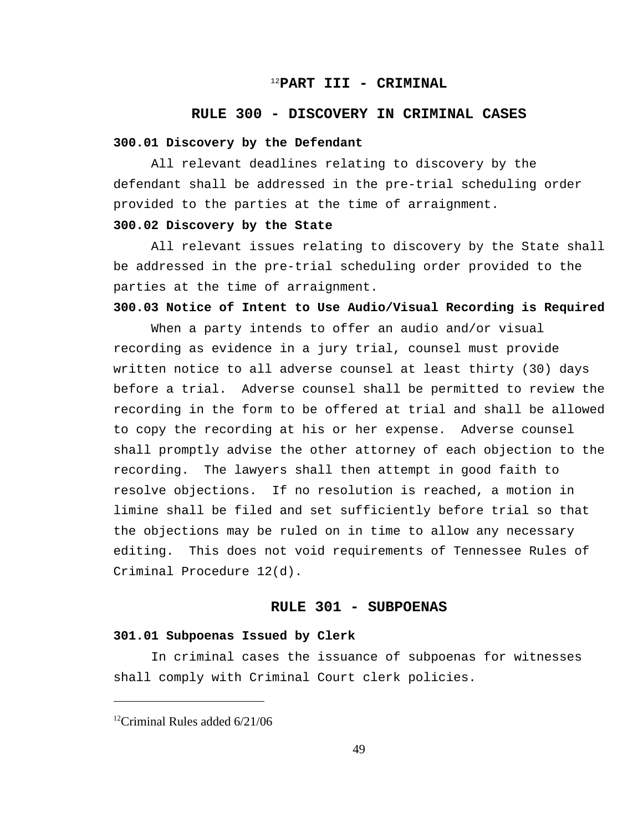## <sup>12</sup>PART III - CRIMINAL

#### **RULE 300 - DISCOVERY IN CRIMINAL CASES**

#### **300.01 Discovery by the Defendant**

All relevant deadlines relating to discovery by the defendant shall be addressed in the pre-trial scheduling order provided to the parties at the time of arraignment.

## **300.02 Discovery by the State**

All relevant issues relating to discovery by the State shall be addressed in the pre-trial scheduling order provided to the parties at the time of arraignment.

## **300.03 Notice of Intent to Use Audio/Visual Recording is Required**

When a party intends to offer an audio and/or visual recording as evidence in a jury trial, counsel must provide written notice to all adverse counsel at least thirty (30) days before a trial. Adverse counsel shall be permitted to review the recording in the form to be offered at trial and shall be allowed to copy the recording at his or her expense. Adverse counsel shall promptly advise the other attorney of each objection to the recording. The lawyers shall then attempt in good faith to resolve objections. If no resolution is reached, a motion in limine shall be filed and set sufficiently before trial so that the objections may be ruled on in time to allow any necessary editing. This does not void requirements of Tennessee Rules of Criminal Procedure 12(d).

## **RULE 301 - SUBPOENAS**

### **301.01 Subpoenas Issued by Clerk**

In criminal cases the issuance of subpoenas for witnesses shall comply with Criminal Court clerk policies.

 $^{12}$ Criminal Rules added 6/21/06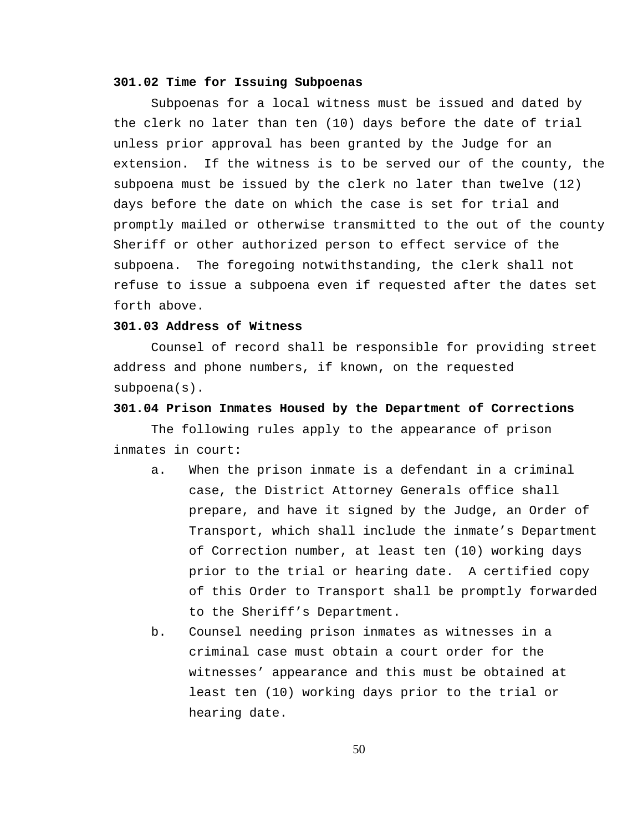#### **301.02 Time for Issuing Subpoenas**

Subpoenas for a local witness must be issued and dated by the clerk no later than ten (10) days before the date of trial unless prior approval has been granted by the Judge for an extension. If the witness is to be served our of the county, the subpoena must be issued by the clerk no later than twelve (12) days before the date on which the case is set for trial and promptly mailed or otherwise transmitted to the out of the county Sheriff or other authorized person to effect service of the subpoena. The foregoing notwithstanding, the clerk shall not refuse to issue a subpoena even if requested after the dates set forth above.

## **301.03 Address of Witness**

Counsel of record shall be responsible for providing street address and phone numbers, if known, on the requested subpoena(s).

#### **301.04 Prison Inmates Housed by the Department of Corrections**

The following rules apply to the appearance of prison inmates in court:

- a. When the prison inmate is a defendant in a criminal case, the District Attorney Generals office shall prepare, and have it signed by the Judge, an Order of Transport, which shall include the inmate's Department of Correction number, at least ten (10) working days prior to the trial or hearing date. A certified copy of this Order to Transport shall be promptly forwarded to the Sheriff's Department.
- b. Counsel needing prison inmates as witnesses in a criminal case must obtain a court order for the witnesses' appearance and this must be obtained at least ten (10) working days prior to the trial or hearing date.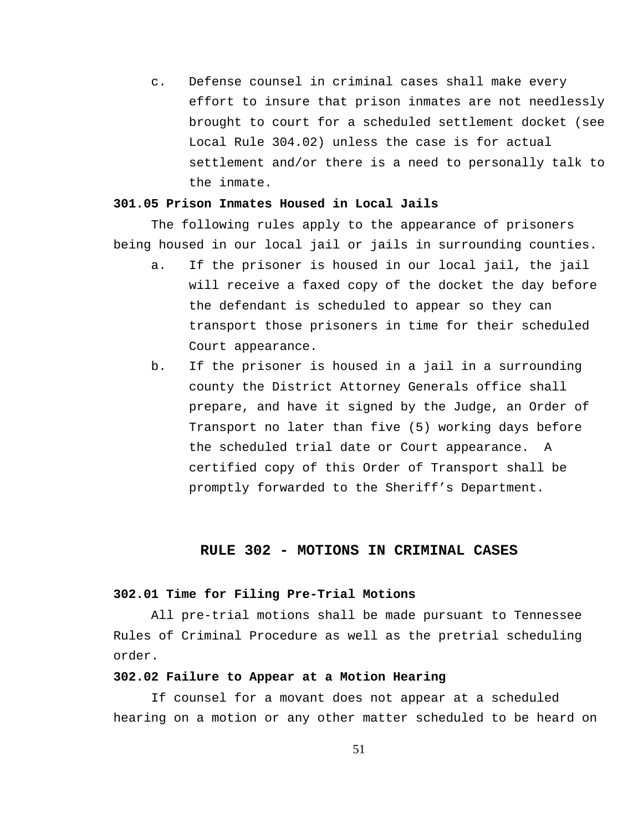c. Defense counsel in criminal cases shall make every effort to insure that prison inmates are not needlessly brought to court for a scheduled settlement docket (see Local Rule 304.02) unless the case is for actual settlement and/or there is a need to personally talk to the inmate.

#### **301.05 Prison Inmates Housed in Local Jails**

The following rules apply to the appearance of prisoners being housed in our local jail or jails in surrounding counties.

- a. If the prisoner is housed in our local jail, the jail will receive a faxed copy of the docket the day before the defendant is scheduled to appear so they can transport those prisoners in time for their scheduled Court appearance.
- b. If the prisoner is housed in a jail in a surrounding county the District Attorney Generals office shall prepare, and have it signed by the Judge, an Order of Transport no later than five (5) working days before the scheduled trial date or Court appearance. A certified copy of this Order of Transport shall be promptly forwarded to the Sheriff's Department.

## **RULE 302 - MOTIONS IN CRIMINAL CASES**

#### **302.01 Time for Filing Pre-Trial Motions**

All pre-trial motions shall be made pursuant to Tennessee Rules of Criminal Procedure as well as the pretrial scheduling order.

#### **302.02 Failure to Appear at a Motion Hearing**

If counsel for a movant does not appear at a scheduled hearing on a motion or any other matter scheduled to be heard on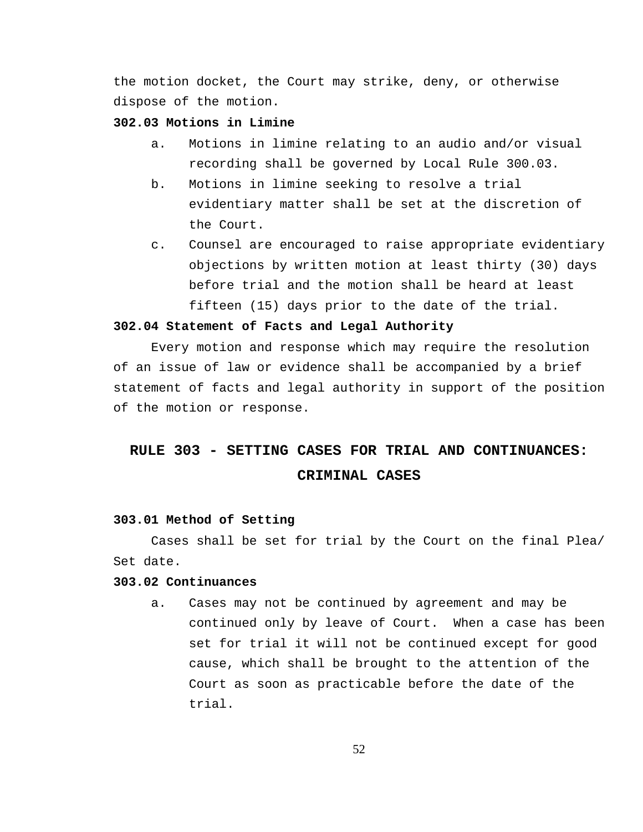the motion docket, the Court may strike, deny, or otherwise dispose of the motion.

## **302.03 Motions in Limine**

- a. Motions in limine relating to an audio and/or visual recording shall be governed by Local Rule 300.03.
- b. Motions in limine seeking to resolve a trial evidentiary matter shall be set at the discretion of the Court.
- c. Counsel are encouraged to raise appropriate evidentiary objections by written motion at least thirty (30) days before trial and the motion shall be heard at least fifteen (15) days prior to the date of the trial.

#### **302.04 Statement of Facts and Legal Authority**

Every motion and response which may require the resolution of an issue of law or evidence shall be accompanied by a brief statement of facts and legal authority in support of the position of the motion or response.

# **RULE 303 - SETTING CASES FOR TRIAL AND CONTINUANCES: CRIMINAL CASES**

#### **303.01 Method of Setting**

Cases shall be set for trial by the Court on the final Plea/ Set date.

#### **303.02 Continuances**

a. Cases may not be continued by agreement and may be continued only by leave of Court. When a case has been set for trial it will not be continued except for good cause, which shall be brought to the attention of the Court as soon as practicable before the date of the trial.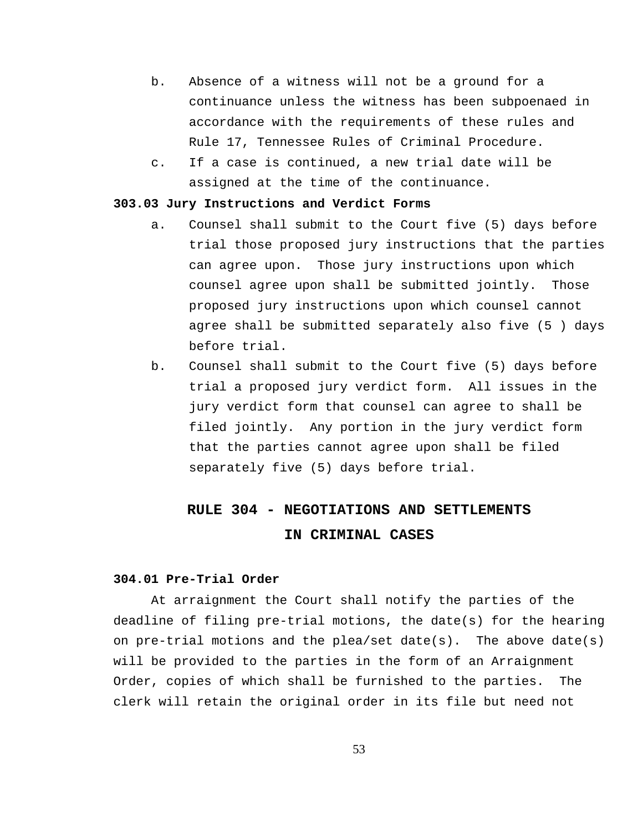- b. Absence of a witness will not be a ground for a continuance unless the witness has been subpoenaed in accordance with the requirements of these rules and Rule 17, Tennessee Rules of Criminal Procedure.
- c. If a case is continued, a new trial date will be assigned at the time of the continuance.

#### **303.03 Jury Instructions and Verdict Forms**

- a. Counsel shall submit to the Court five (5) days before trial those proposed jury instructions that the parties can agree upon. Those jury instructions upon which counsel agree upon shall be submitted jointly. Those proposed jury instructions upon which counsel cannot agree shall be submitted separately also five (5 ) days before trial.
- b. Counsel shall submit to the Court five (5) days before trial a proposed jury verdict form. All issues in the jury verdict form that counsel can agree to shall be filed jointly. Any portion in the jury verdict form that the parties cannot agree upon shall be filed separately five (5) days before trial.

# **RULE 304 - NEGOTIATIONS AND SETTLEMENTS IN CRIMINAL CASES**

#### **304.01 Pre-Trial Order**

At arraignment the Court shall notify the parties of the deadline of filing pre-trial motions, the date(s) for the hearing on pre-trial motions and the plea/set date(s). The above date(s) will be provided to the parties in the form of an Arraignment Order, copies of which shall be furnished to the parties. The clerk will retain the original order in its file but need not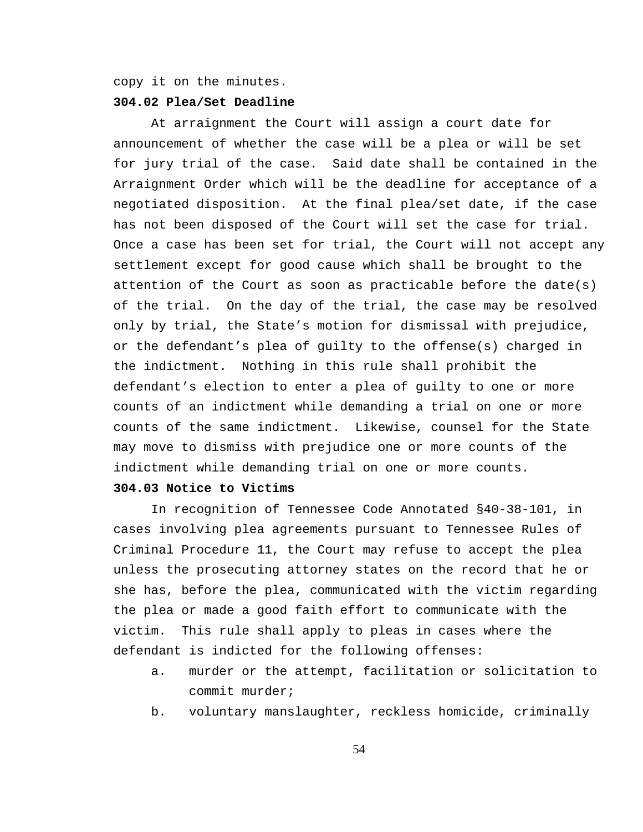copy it on the minutes.

#### **304.02 Plea/Set Deadline**

At arraignment the Court will assign a court date for announcement of whether the case will be a plea or will be set for jury trial of the case. Said date shall be contained in the Arraignment Order which will be the deadline for acceptance of a negotiated disposition. At the final plea/set date, if the case has not been disposed of the Court will set the case for trial. Once a case has been set for trial, the Court will not accept any settlement except for good cause which shall be brought to the attention of the Court as soon as practicable before the date(s) of the trial. On the day of the trial, the case may be resolved only by trial, the State's motion for dismissal with prejudice, or the defendant's plea of guilty to the offense(s) charged in the indictment. Nothing in this rule shall prohibit the defendant's election to enter a plea of guilty to one or more counts of an indictment while demanding a trial on one or more counts of the same indictment. Likewise, counsel for the State may move to dismiss with prejudice one or more counts of the indictment while demanding trial on one or more counts.

## **304.03 Notice to Victims**

In recognition of Tennessee Code Annotated §40-38-101, in cases involving plea agreements pursuant to Tennessee Rules of Criminal Procedure 11, the Court may refuse to accept the plea unless the prosecuting attorney states on the record that he or she has, before the plea, communicated with the victim regarding the plea or made a good faith effort to communicate with the victim. This rule shall apply to pleas in cases where the defendant is indicted for the following offenses:

- a. murder or the attempt, facilitation or solicitation to commit murder;
- b. voluntary manslaughter, reckless homicide, criminally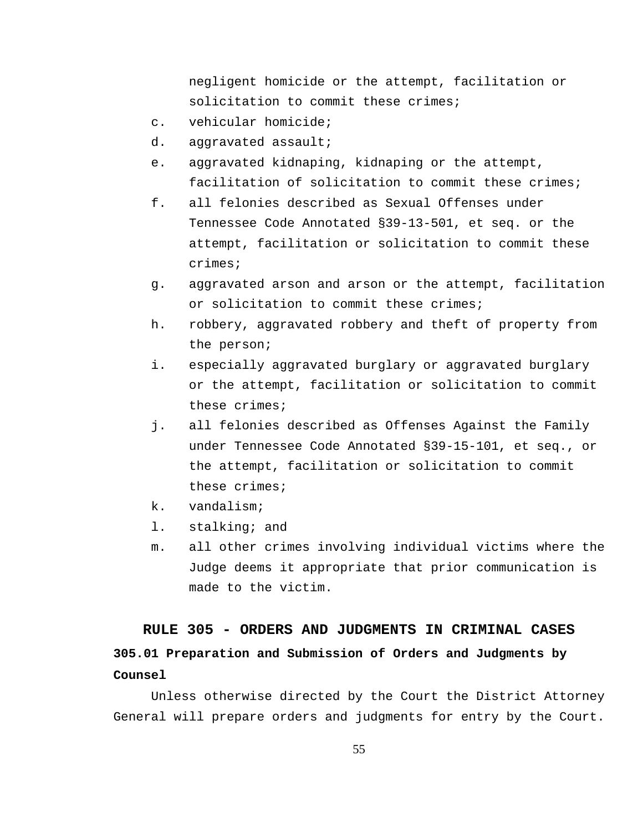negligent homicide or the attempt, facilitation or solicitation to commit these crimes;

- c. vehicular homicide;
- d. aggravated assault;
- e. aggravated kidnaping, kidnaping or the attempt, facilitation of solicitation to commit these crimes;
- f. all felonies described as Sexual Offenses under Tennessee Code Annotated §39-13-501, et seq. or the attempt, facilitation or solicitation to commit these crimes;
- g. aggravated arson and arson or the attempt, facilitation or solicitation to commit these crimes;
- h. robbery, aggravated robbery and theft of property from the person;
- i. especially aggravated burglary or aggravated burglary or the attempt, facilitation or solicitation to commit these crimes;
- j. all felonies described as Offenses Against the Family under Tennessee Code Annotated §39-15-101, et seq., or the attempt, facilitation or solicitation to commit these crimes;
- k. vandalism;
- l. stalking; and
- m. all other crimes involving individual victims where the Judge deems it appropriate that prior communication is made to the victim.

# **RULE 305 - ORDERS AND JUDGMENTS IN CRIMINAL CASES 305.01 Preparation and Submission of Orders and Judgments by Counsel**

Unless otherwise directed by the Court the District Attorney General will prepare orders and judgments for entry by the Court.